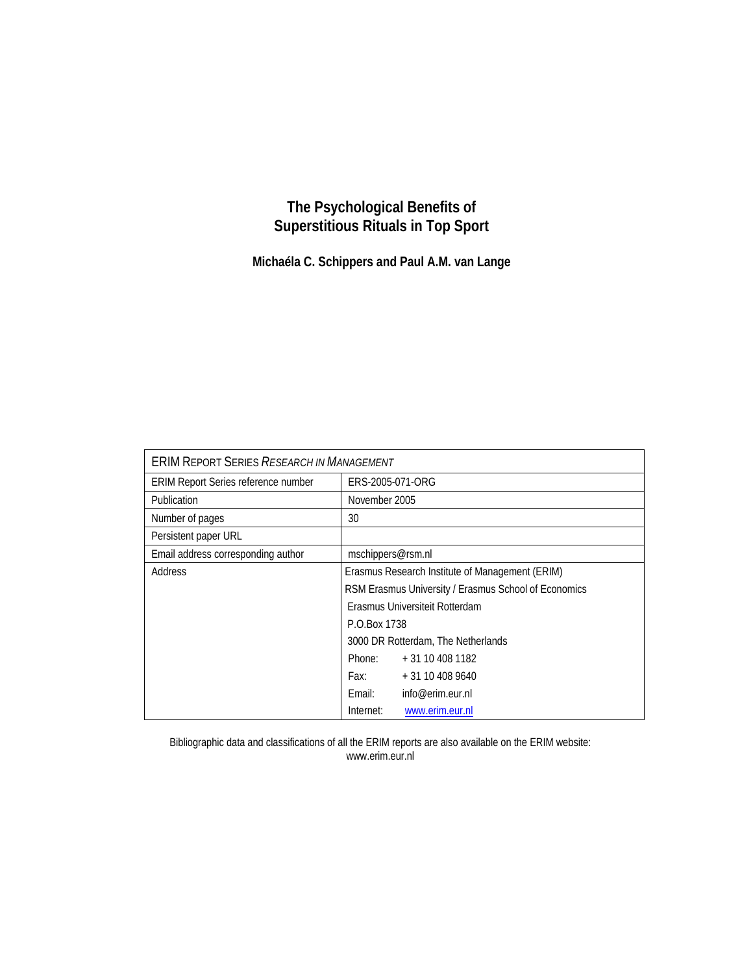# **The Psychological Benefits of Superstitious Rituals in Top Sport**

**Michaéla C. Schippers and Paul A.M. van Lange** 

| <b>ERIM REPORT SERIES RESEARCH IN MANAGEMENT</b> |                                    |                                                      |  |  |  |
|--------------------------------------------------|------------------------------------|------------------------------------------------------|--|--|--|
| <b>ERIM Report Series reference number</b>       | ERS-2005-071-ORG                   |                                                      |  |  |  |
| <b>Publication</b>                               |                                    | November 2005                                        |  |  |  |
| Number of pages                                  | 30                                 |                                                      |  |  |  |
| Persistent paper URL                             |                                    |                                                      |  |  |  |
| Email address corresponding author               | mschippers@rsm.nl                  |                                                      |  |  |  |
| Address                                          |                                    | Erasmus Research Institute of Management (ERIM)      |  |  |  |
|                                                  |                                    | RSM Erasmus University / Erasmus School of Economics |  |  |  |
|                                                  |                                    | Erasmus Universiteit Rotterdam                       |  |  |  |
|                                                  | P.O.Box 1738                       |                                                      |  |  |  |
|                                                  | 3000 DR Rotterdam, The Netherlands |                                                      |  |  |  |
|                                                  | Phone:                             | + 31 10 408 1182                                     |  |  |  |
|                                                  |                                    | Fax: $+31104089640$                                  |  |  |  |
|                                                  | Fmail:                             | info@erim.eur.nl                                     |  |  |  |
|                                                  | Internet:                          | www.erim.eur.nl                                      |  |  |  |

Bibliographic data and classifications of all the ERIM reports are also available on the ERIM website: www.erim.eur.nl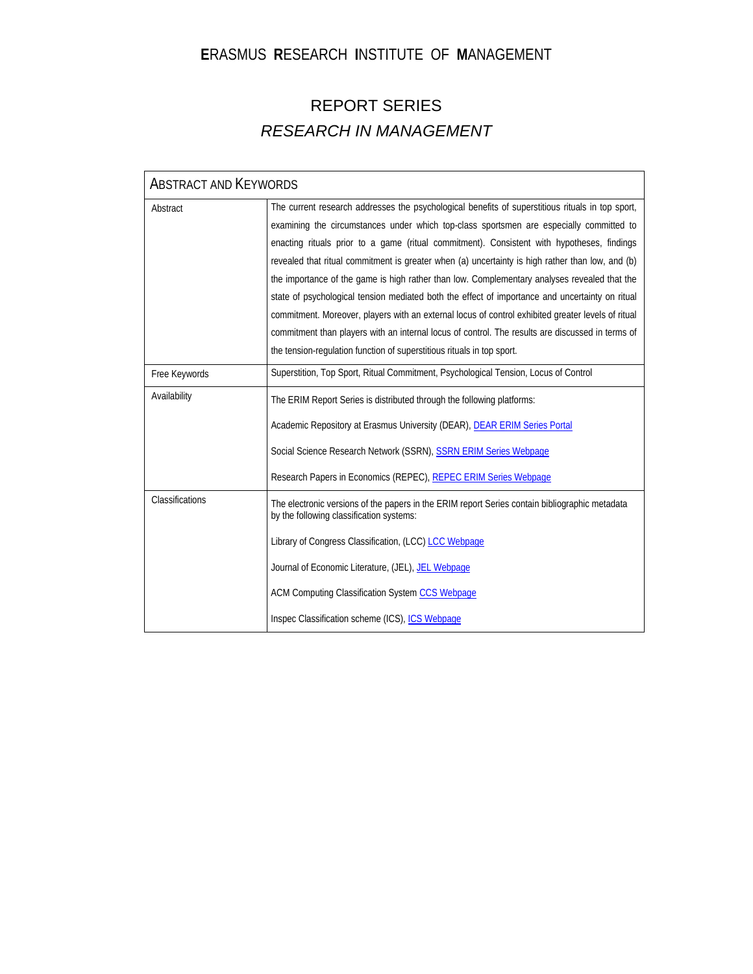# **E**RASMUS **R**ESEARCH **I**NSTITUTE OF **M**ANAGEMENT

# REPORT SERIES *RESEARCH IN MANAGEMENT*

| <b>ABSTRACT AND KEYWORDS</b> |                                                                                                                                                                                                                                                                                                                                                                                                                                                                                                                                                                                                                                                                                                                                                                                                                                                                                      |
|------------------------------|--------------------------------------------------------------------------------------------------------------------------------------------------------------------------------------------------------------------------------------------------------------------------------------------------------------------------------------------------------------------------------------------------------------------------------------------------------------------------------------------------------------------------------------------------------------------------------------------------------------------------------------------------------------------------------------------------------------------------------------------------------------------------------------------------------------------------------------------------------------------------------------|
| Abstract                     | The current research addresses the psychological benefits of superstitious rituals in top sport,<br>examining the circumstances under which top-class sportsmen are especially committed to<br>enacting rituals prior to a game (ritual commitment). Consistent with hypotheses, findings<br>revealed that ritual commitment is greater when (a) uncertainty is high rather than low, and (b)<br>the importance of the game is high rather than low. Complementary analyses revealed that the<br>state of psychological tension mediated both the effect of importance and uncertainty on ritual<br>commitment. Moreover, players with an external locus of control exhibited greater levels of ritual<br>commitment than players with an internal locus of control. The results are discussed in terms of<br>the tension-regulation function of superstitious rituals in top sport. |
| Free Keywords                | Superstition, Top Sport, Ritual Commitment, Psychological Tension, Locus of Control                                                                                                                                                                                                                                                                                                                                                                                                                                                                                                                                                                                                                                                                                                                                                                                                  |
| Availability                 | The ERIM Report Series is distributed through the following platforms:<br>Academic Repository at Erasmus University (DEAR), DEAR ERIM Series Portal<br>Social Science Research Network (SSRN), SSRN ERIM Series Webpage<br>Research Papers in Economics (REPEC), REPEC ERIM Series Webpage                                                                                                                                                                                                                                                                                                                                                                                                                                                                                                                                                                                           |
| Classifications              | The electronic versions of the papers in the ERIM report Series contain bibliographic metadata<br>by the following classification systems:<br>Library of Congress Classification, (LCC) LCC Webpage<br>Journal of Economic Literature, (JEL), JEL Webpage<br>ACM Computing Classification System CCS Webpage<br>Inspec Classification scheme (ICS), ICS Webpage                                                                                                                                                                                                                                                                                                                                                                                                                                                                                                                      |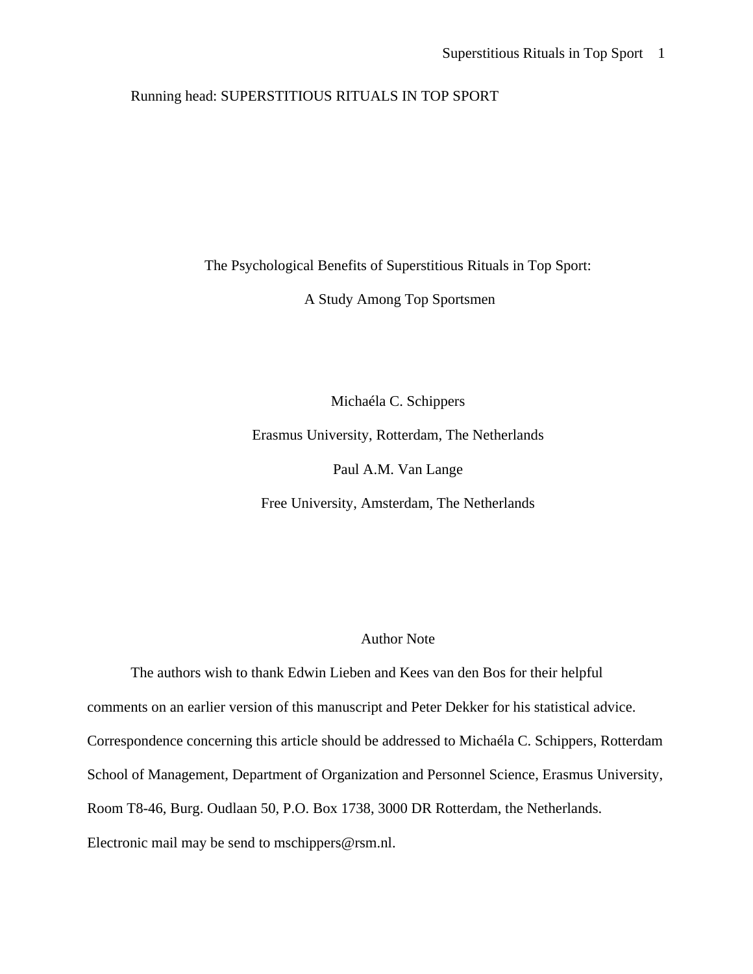# Running head: SUPERSTITIOUS RITUALS IN TOP SPORT

The Psychological Benefits of Superstitious Rituals in Top Sport:

A Study Among Top Sportsmen

Michaéla C. Schippers Erasmus University, Rotterdam, The Netherlands Paul A.M. Van Lange

Free University, Amsterdam, The Netherlands

# Author Note

 The authors wish to thank Edwin Lieben and Kees van den Bos for their helpful comments on an earlier version of this manuscript and Peter Dekker for his statistical advice. Correspondence concerning this article should be addressed to Michaéla C. Schippers, Rotterdam School of Management, Department of Organization and Personnel Science, Erasmus University, Room T8-46, Burg. Oudlaan 50, P.O. Box 1738, 3000 DR Rotterdam, the Netherlands. Electronic mail may be send to mschippers@rsm.nl.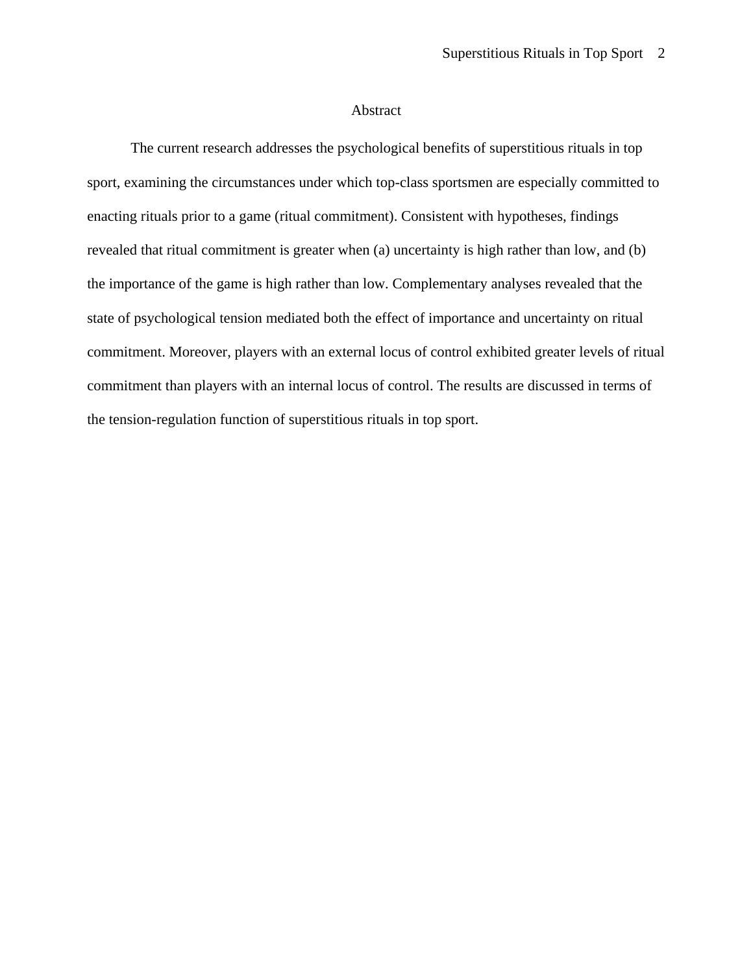#### Abstract

The current research addresses the psychological benefits of superstitious rituals in top sport, examining the circumstances under which top-class sportsmen are especially committed to enacting rituals prior to a game (ritual commitment). Consistent with hypotheses, findings revealed that ritual commitment is greater when (a) uncertainty is high rather than low, and (b) the importance of the game is high rather than low. Complementary analyses revealed that the state of psychological tension mediated both the effect of importance and uncertainty on ritual commitment. Moreover, players with an external locus of control exhibited greater levels of ritual commitment than players with an internal locus of control. The results are discussed in terms of the tension-regulation function of superstitious rituals in top sport.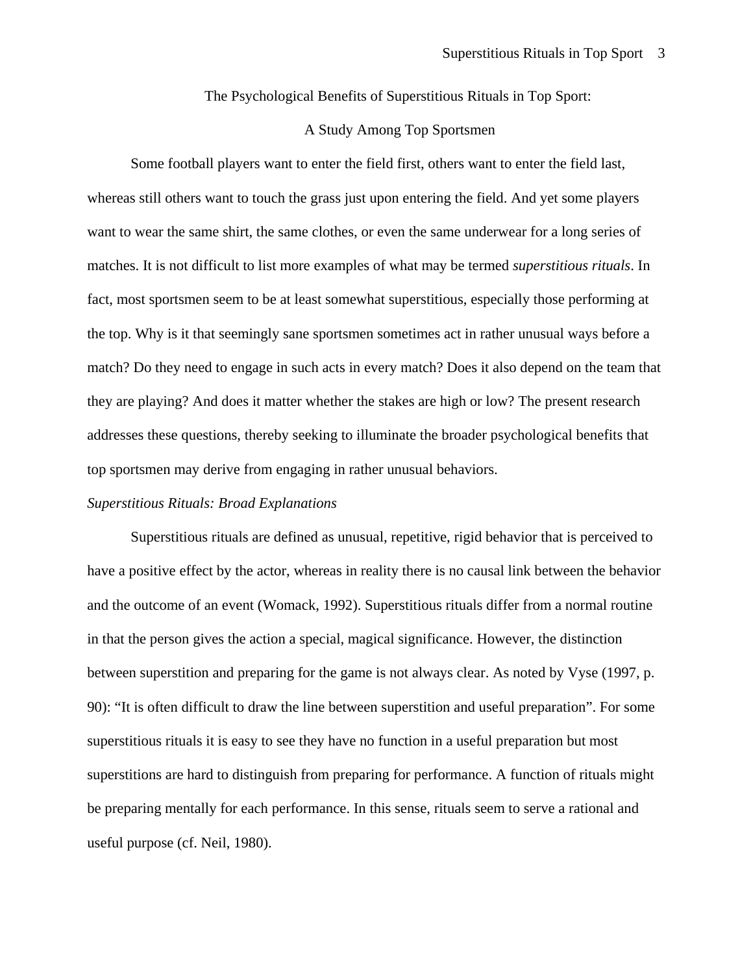The Psychological Benefits of Superstitious Rituals in Top Sport:

#### A Study Among Top Sportsmen

Some football players want to enter the field first, others want to enter the field last, whereas still others want to touch the grass just upon entering the field. And yet some players want to wear the same shirt, the same clothes, or even the same underwear for a long series of matches. It is not difficult to list more examples of what may be termed *superstitious rituals*. In fact, most sportsmen seem to be at least somewhat superstitious, especially those performing at the top. Why is it that seemingly sane sportsmen sometimes act in rather unusual ways before a match? Do they need to engage in such acts in every match? Does it also depend on the team that they are playing? And does it matter whether the stakes are high or low? The present research addresses these questions, thereby seeking to illuminate the broader psychological benefits that top sportsmen may derive from engaging in rather unusual behaviors.

# *Superstitious Rituals: Broad Explanations*

Superstitious rituals are defined as unusual, repetitive, rigid behavior that is perceived to have a positive effect by the actor, whereas in reality there is no causal link between the behavior and the outcome of an event (Womack, 1992). Superstitious rituals differ from a normal routine in that the person gives the action a special, magical significance. However, the distinction between superstition and preparing for the game is not always clear. As noted by Vyse (1997, p. 90): "It is often difficult to draw the line between superstition and useful preparation". For some superstitious rituals it is easy to see they have no function in a useful preparation but most superstitions are hard to distinguish from preparing for performance. A function of rituals might be preparing mentally for each performance. In this sense, rituals seem to serve a rational and useful purpose (cf. Neil, 1980).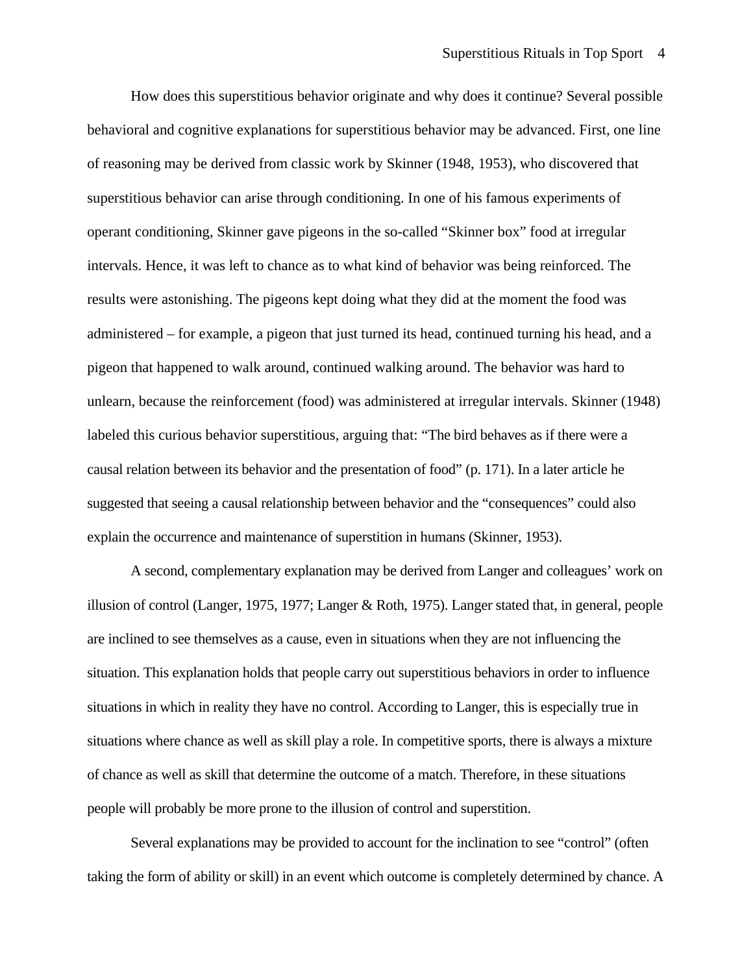How does this superstitious behavior originate and why does it continue? Several possible behavioral and cognitive explanations for superstitious behavior may be advanced. First, one line of reasoning may be derived from classic work by Skinner (1948, 1953), who discovered that superstitious behavior can arise through conditioning. In one of his famous experiments of operant conditioning, Skinner gave pigeons in the so-called "Skinner box" food at irregular intervals. Hence, it was left to chance as to what kind of behavior was being reinforced. The results were astonishing. The pigeons kept doing what they did at the moment the food was administered – for example, a pigeon that just turned its head, continued turning his head, and a pigeon that happened to walk around, continued walking around. The behavior was hard to unlearn, because the reinforcement (food) was administered at irregular intervals. Skinner (1948) labeled this curious behavior superstitious, arguing that: "The bird behaves as if there were a causal relation between its behavior and the presentation of food" (p. 171). In a later article he suggested that seeing a causal relationship between behavior and the "consequences" could also explain the occurrence and maintenance of superstition in humans (Skinner, 1953).

A second, complementary explanation may be derived from Langer and colleagues' work on illusion of control (Langer, 1975, 1977; Langer & Roth, 1975). Langer stated that, in general, people are inclined to see themselves as a cause, even in situations when they are not influencing the situation. This explanation holds that people carry out superstitious behaviors in order to influence situations in which in reality they have no control. According to Langer, this is especially true in situations where chance as well as skill play a role. In competitive sports, there is always a mixture of chance as well as skill that determine the outcome of a match. Therefore, in these situations people will probably be more prone to the illusion of control and superstition.

Several explanations may be provided to account for the inclination to see "control" (often taking the form of ability or skill) in an event which outcome is completely determined by chance. A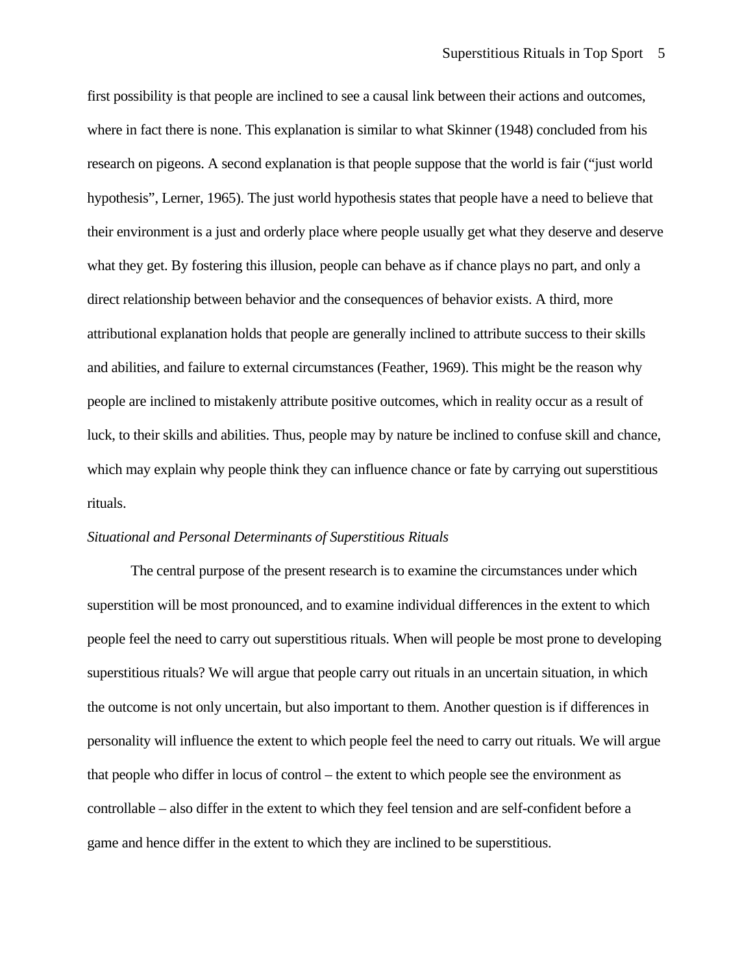first possibility is that people are inclined to see a causal link between their actions and outcomes, where in fact there is none. This explanation is similar to what Skinner (1948) concluded from his research on pigeons. A second explanation is that people suppose that the world is fair ("just world hypothesis", Lerner, 1965). The just world hypothesis states that people have a need to believe that their environment is a just and orderly place where people usually get what they deserve and deserve what they get. By fostering this illusion, people can behave as if chance plays no part, and only a direct relationship between behavior and the consequences of behavior exists. A third, more attributional explanation holds that people are generally inclined to attribute success to their skills and abilities, and failure to external circumstances (Feather, 1969). This might be the reason why people are inclined to mistakenly attribute positive outcomes, which in reality occur as a result of luck, to their skills and abilities. Thus, people may by nature be inclined to confuse skill and chance, which may explain why people think they can influence chance or fate by carrying out superstitious rituals.

# *Situational and Personal Determinants of Superstitious Rituals*

The central purpose of the present research is to examine the circumstances under which superstition will be most pronounced, and to examine individual differences in the extent to which people feel the need to carry out superstitious rituals. When will people be most prone to developing superstitious rituals? We will argue that people carry out rituals in an uncertain situation, in which the outcome is not only uncertain, but also important to them. Another question is if differences in personality will influence the extent to which people feel the need to carry out rituals. We will argue that people who differ in locus of control – the extent to which people see the environment as controllable – also differ in the extent to which they feel tension and are self-confident before a game and hence differ in the extent to which they are inclined to be superstitious.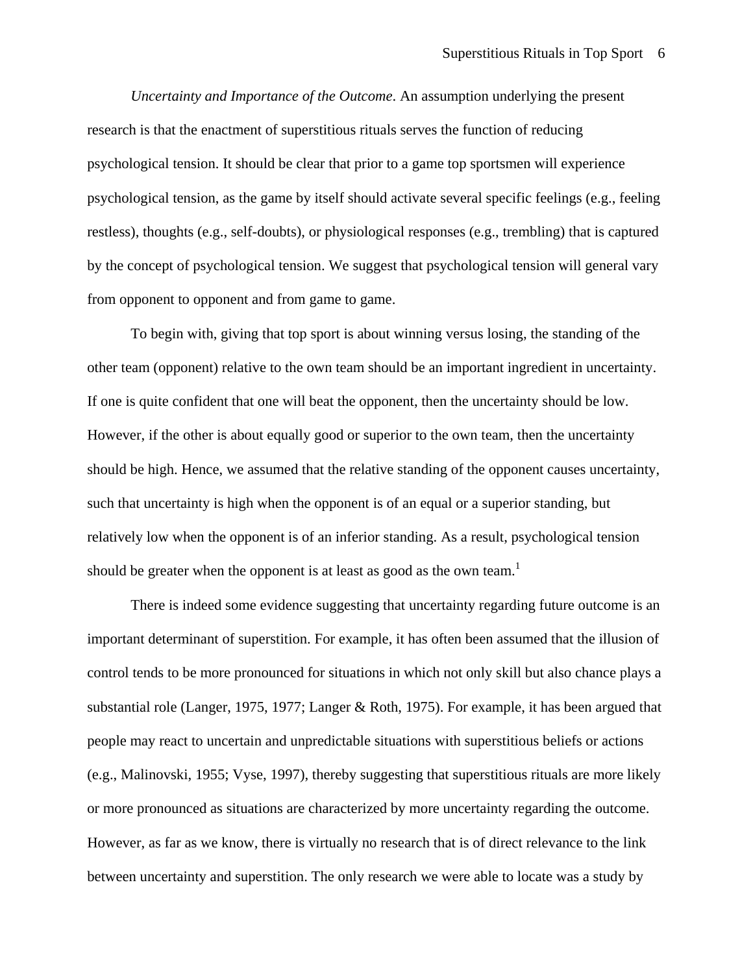*Uncertainty and Importance of the Outcome*. An assumption underlying the present research is that the enactment of superstitious rituals serves the function of reducing psychological tension. It should be clear that prior to a game top sportsmen will experience psychological tension, as the game by itself should activate several specific feelings (e.g., feeling restless), thoughts (e.g., self-doubts), or physiological responses (e.g., trembling) that is captured by the concept of psychological tension. We suggest that psychological tension will general vary from opponent to opponent and from game to game.

To begin with, giving that top sport is about winning versus losing, the standing of the other team (opponent) relative to the own team should be an important ingredient in uncertainty. If one is quite confident that one will beat the opponent, then the uncertainty should be low. However, if the other is about equally good or superior to the own team, then the uncertainty should be high. Hence, we assumed that the relative standing of the opponent causes uncertainty, such that uncertainty is high when the opponent is of an equal or a superior standing, but relatively low when the opponent is of an inferior standing. As a result, psychological tension should be greater when the opponent is at least as good as the own team.<sup>1</sup>

There is indeed some evidence suggesting that uncertainty regarding future outcome is an important determinant of superstition. For example, it has often been assumed that the illusion of control tends to be more pronounced for situations in which not only skill but also chance plays a substantial role (Langer, 1975, 1977; Langer & Roth, 1975). For example, it has been argued that people may react to uncertain and unpredictable situations with superstitious beliefs or actions (e.g., Malinovski, 1955; Vyse, 1997), thereby suggesting that superstitious rituals are more likely or more pronounced as situations are characterized by more uncertainty regarding the outcome. However, as far as we know, there is virtually no research that is of direct relevance to the link between uncertainty and superstition. The only research we were able to locate was a study by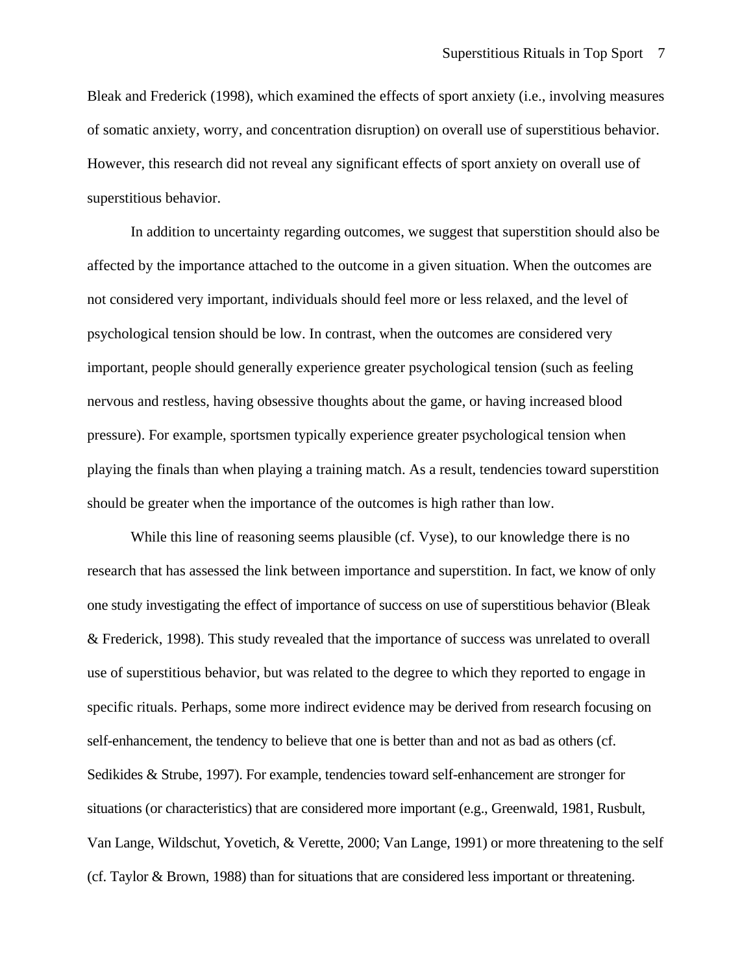Bleak and Frederick (1998), which examined the effects of sport anxiety (i.e., involving measures of somatic anxiety, worry, and concentration disruption) on overall use of superstitious behavior. However, this research did not reveal any significant effects of sport anxiety on overall use of superstitious behavior.

In addition to uncertainty regarding outcomes, we suggest that superstition should also be affected by the importance attached to the outcome in a given situation. When the outcomes are not considered very important, individuals should feel more or less relaxed, and the level of psychological tension should be low. In contrast, when the outcomes are considered very important, people should generally experience greater psychological tension (such as feeling nervous and restless, having obsessive thoughts about the game, or having increased blood pressure). For example, sportsmen typically experience greater psychological tension when playing the finals than when playing a training match. As a result, tendencies toward superstition should be greater when the importance of the outcomes is high rather than low.

While this line of reasoning seems plausible (cf. Vyse), to our knowledge there is no research that has assessed the link between importance and superstition. In fact, we know of only one study investigating the effect of importance of success on use of superstitious behavior (Bleak & Frederick, 1998). This study revealed that the importance of success was unrelated to overall use of superstitious behavior, but was related to the degree to which they reported to engage in specific rituals. Perhaps, some more indirect evidence may be derived from research focusing on self-enhancement, the tendency to believe that one is better than and not as bad as others (cf. Sedikides & Strube, 1997). For example, tendencies toward self-enhancement are stronger for situations (or characteristics) that are considered more important (e.g., Greenwald, 1981, Rusbult, Van Lange, Wildschut, Yovetich, & Verette, 2000; Van Lange, 1991) or more threatening to the self (cf. Taylor & Brown, 1988) than for situations that are considered less important or threatening.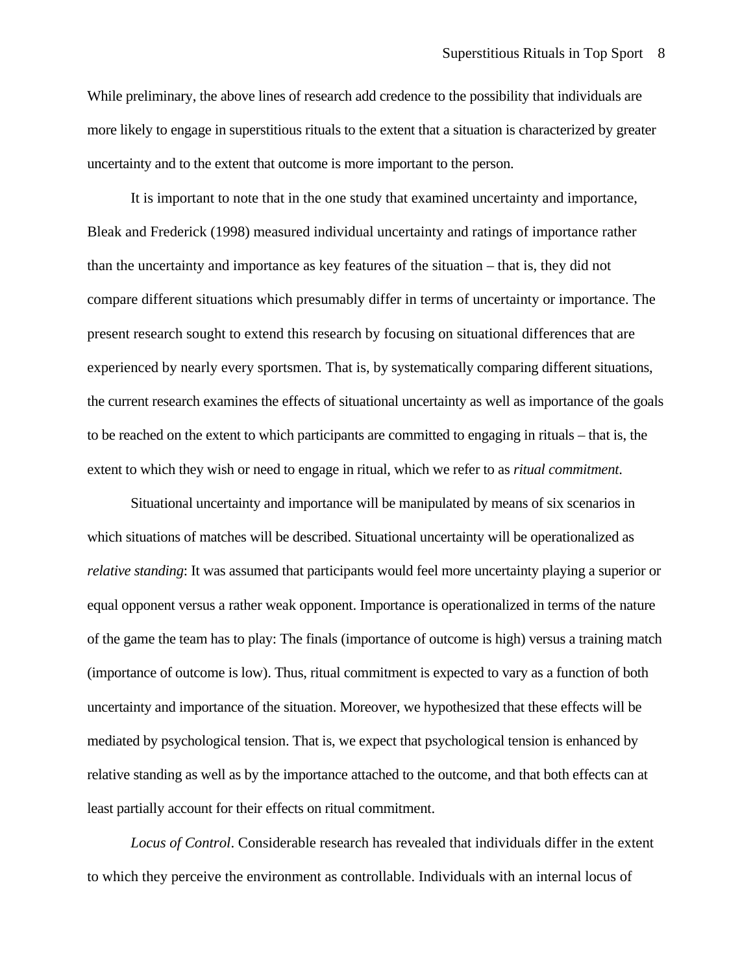While preliminary, the above lines of research add credence to the possibility that individuals are more likely to engage in superstitious rituals to the extent that a situation is characterized by greater uncertainty and to the extent that outcome is more important to the person.

It is important to note that in the one study that examined uncertainty and importance, Bleak and Frederick (1998) measured individual uncertainty and ratings of importance rather than the uncertainty and importance as key features of the situation – that is, they did not compare different situations which presumably differ in terms of uncertainty or importance. The present research sought to extend this research by focusing on situational differences that are experienced by nearly every sportsmen. That is, by systematically comparing different situations, the current research examines the effects of situational uncertainty as well as importance of the goals to be reached on the extent to which participants are committed to engaging in rituals – that is, the extent to which they wish or need to engage in ritual, which we refer to as *ritual commitment*.

Situational uncertainty and importance will be manipulated by means of six scenarios in which situations of matches will be described. Situational uncertainty will be operationalized as *relative standing*: It was assumed that participants would feel more uncertainty playing a superior or equal opponent versus a rather weak opponent. Importance is operationalized in terms of the nature of the game the team has to play: The finals (importance of outcome is high) versus a training match (importance of outcome is low). Thus, ritual commitment is expected to vary as a function of both uncertainty and importance of the situation. Moreover, we hypothesized that these effects will be mediated by psychological tension. That is, we expect that psychological tension is enhanced by relative standing as well as by the importance attached to the outcome, and that both effects can at least partially account for their effects on ritual commitment.

*Locus of Control*. Considerable research has revealed that individuals differ in the extent to which they perceive the environment as controllable. Individuals with an internal locus of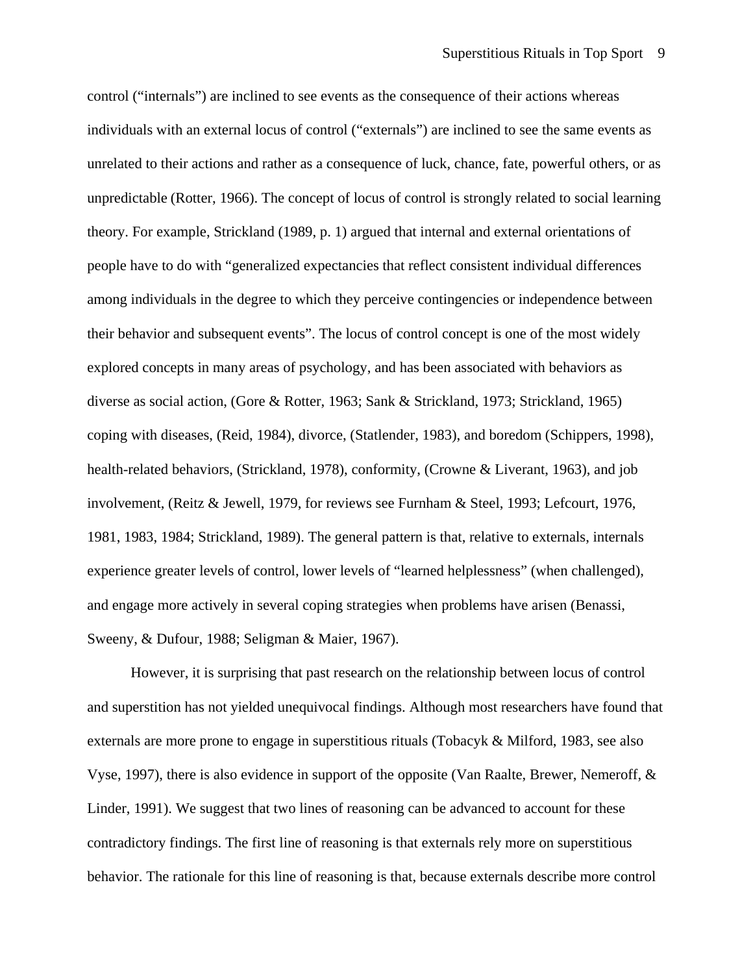control ("internals") are inclined to see events as the consequence of their actions whereas individuals with an external locus of control ("externals") are inclined to see the same events as unrelated to their actions and rather as a consequence of luck, chance, fate, powerful others, or as unpredictable (Rotter, 1966). The concept of locus of control is strongly related to social learning theory. For example, Strickland (1989, p. 1) argued that internal and external orientations of people have to do with "generalized expectancies that reflect consistent individual differences among individuals in the degree to which they perceive contingencies or independence between their behavior and subsequent events". The locus of control concept is one of the most widely explored concepts in many areas of psychology, and has been associated with behaviors as diverse as social action, (Gore & Rotter, 1963; Sank & Strickland, 1973; Strickland, 1965) coping with diseases, (Reid, 1984), divorce, (Statlender, 1983), and boredom (Schippers, 1998), health-related behaviors, (Strickland, 1978), conformity, (Crowne & Liverant, 1963), and job involvement, (Reitz & Jewell, 1979, for reviews see Furnham & Steel, 1993; Lefcourt, 1976, 1981, 1983, 1984; Strickland, 1989). The general pattern is that, relative to externals, internals experience greater levels of control, lower levels of "learned helplessness" (when challenged), and engage more actively in several coping strategies when problems have arisen (Benassi, Sweeny, & Dufour, 1988; Seligman & Maier, 1967).

However, it is surprising that past research on the relationship between locus of control and superstition has not yielded unequivocal findings. Although most researchers have found that externals are more prone to engage in superstitious rituals (Tobacyk & Milford, 1983, see also Vyse, 1997), there is also evidence in support of the opposite (Van Raalte, Brewer, Nemeroff, & Linder, 1991). We suggest that two lines of reasoning can be advanced to account for these contradictory findings. The first line of reasoning is that externals rely more on superstitious behavior. The rationale for this line of reasoning is that, because externals describe more control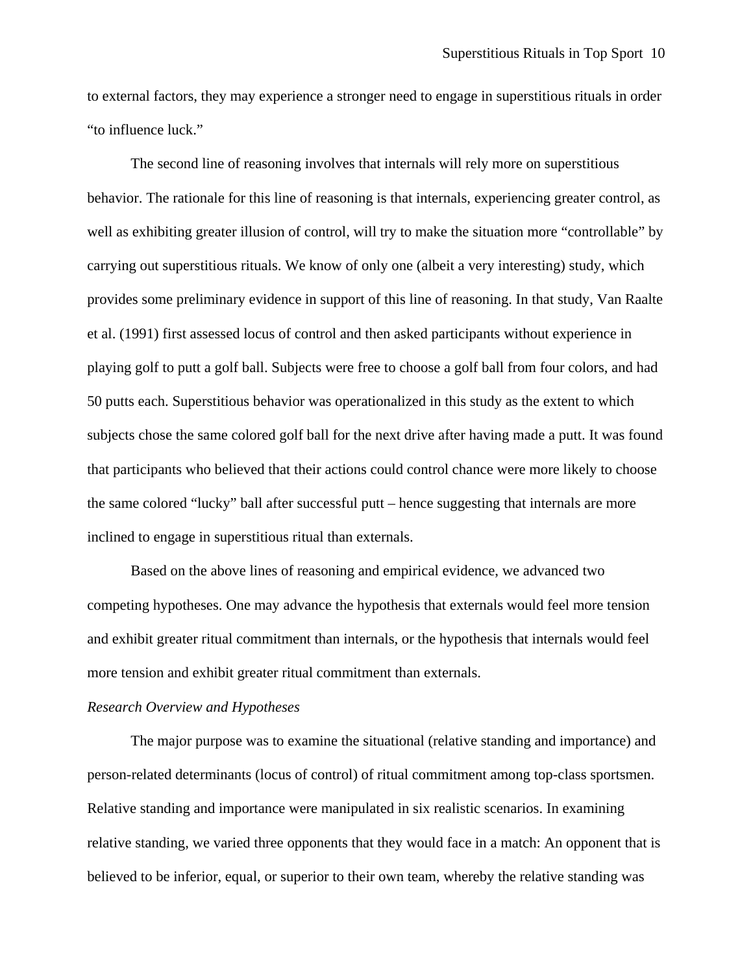to external factors, they may experience a stronger need to engage in superstitious rituals in order "to influence luck."

The second line of reasoning involves that internals will rely more on superstitious behavior. The rationale for this line of reasoning is that internals, experiencing greater control, as well as exhibiting greater illusion of control, will try to make the situation more "controllable" by carrying out superstitious rituals. We know of only one (albeit a very interesting) study, which provides some preliminary evidence in support of this line of reasoning. In that study, Van Raalte et al. (1991) first assessed locus of control and then asked participants without experience in playing golf to putt a golf ball. Subjects were free to choose a golf ball from four colors, and had 50 putts each. Superstitious behavior was operationalized in this study as the extent to which subjects chose the same colored golf ball for the next drive after having made a putt. It was found that participants who believed that their actions could control chance were more likely to choose the same colored "lucky" ball after successful putt – hence suggesting that internals are more inclined to engage in superstitious ritual than externals.

Based on the above lines of reasoning and empirical evidence, we advanced two competing hypotheses. One may advance the hypothesis that externals would feel more tension and exhibit greater ritual commitment than internals, or the hypothesis that internals would feel more tension and exhibit greater ritual commitment than externals.

#### *Research Overview and Hypotheses*

The major purpose was to examine the situational (relative standing and importance) and person-related determinants (locus of control) of ritual commitment among top-class sportsmen. Relative standing and importance were manipulated in six realistic scenarios. In examining relative standing, we varied three opponents that they would face in a match: An opponent that is believed to be inferior, equal, or superior to their own team, whereby the relative standing was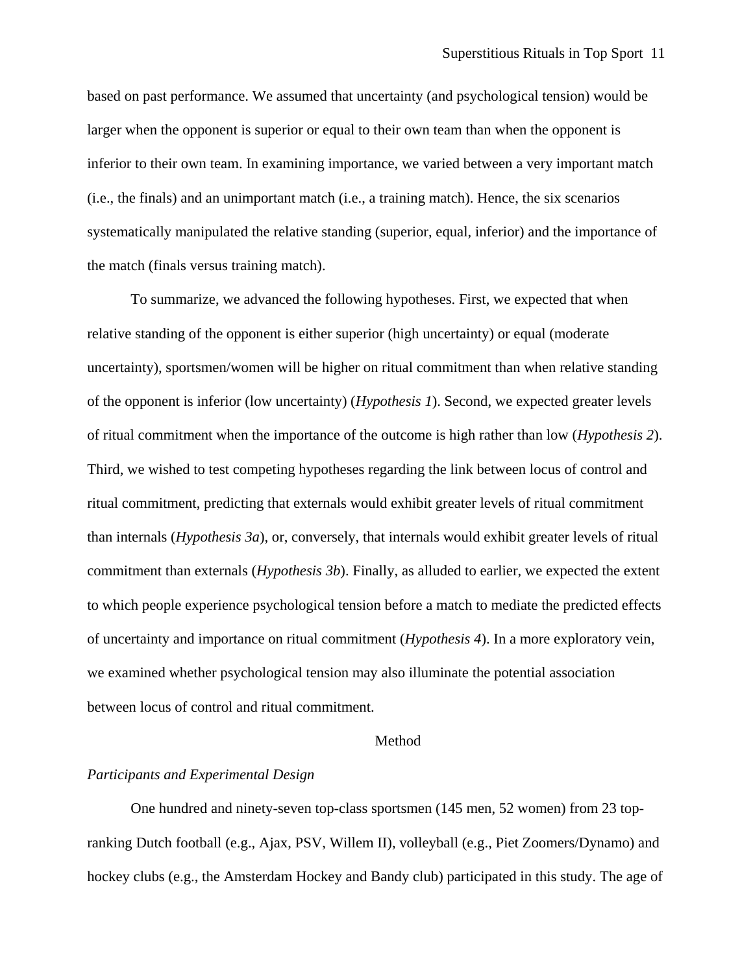based on past performance. We assumed that uncertainty (and psychological tension) would be larger when the opponent is superior or equal to their own team than when the opponent is inferior to their own team. In examining importance, we varied between a very important match (i.e., the finals) and an unimportant match (i.e., a training match). Hence, the six scenarios systematically manipulated the relative standing (superior, equal, inferior) and the importance of the match (finals versus training match).

To summarize, we advanced the following hypotheses. First, we expected that when relative standing of the opponent is either superior (high uncertainty) or equal (moderate uncertainty), sportsmen/women will be higher on ritual commitment than when relative standing of the opponent is inferior (low uncertainty) (*Hypothesis 1*). Second, we expected greater levels of ritual commitment when the importance of the outcome is high rather than low (*Hypothesis 2*). Third, we wished to test competing hypotheses regarding the link between locus of control and ritual commitment, predicting that externals would exhibit greater levels of ritual commitment than internals (*Hypothesis 3a*), or, conversely, that internals would exhibit greater levels of ritual commitment than externals (*Hypothesis 3b*). Finally, as alluded to earlier, we expected the extent to which people experience psychological tension before a match to mediate the predicted effects of uncertainty and importance on ritual commitment (*Hypothesis 4*). In a more exploratory vein, we examined whether psychological tension may also illuminate the potential association between locus of control and ritual commitment.

### **Method**

# *Participants and Experimental Design*

One hundred and ninety-seven top-class sportsmen (145 men, 52 women) from 23 topranking Dutch football (e.g., Ajax, PSV, Willem II), volleyball (e.g., Piet Zoomers/Dynamo) and hockey clubs (e.g., the Amsterdam Hockey and Bandy club) participated in this study. The age of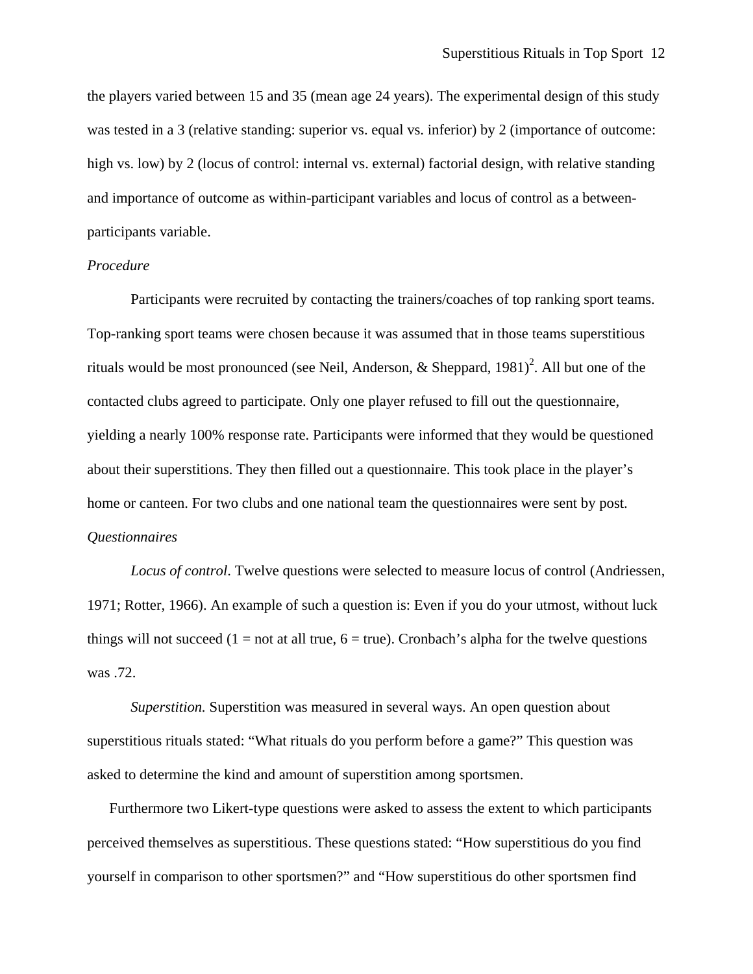the players varied between 15 and 35 (mean age 24 years). The experimental design of this study was tested in a 3 (relative standing: superior vs. equal vs. inferior) by 2 (importance of outcome: high vs. low) by 2 (locus of control: internal vs. external) factorial design, with relative standing and importance of outcome as within-participant variables and locus of control as a betweenparticipants variable.

# *Procedure*

Participants were recruited by contacting the trainers/coaches of top ranking sport teams. Top-ranking sport teams were chosen because it was assumed that in those teams superstitious rituals would be most pronounced (see Neil, Anderson, & Sheppard, 1981)<sup>2</sup>. All but one of the contacted clubs agreed to participate. Only one player refused to fill out the questionnaire, yielding a nearly 100% response rate. Participants were informed that they would be questioned about their superstitions. They then filled out a questionnaire. This took place in the player's home or canteen. For two clubs and one national team the questionnaires were sent by post. *Questionnaires* 

*Locus of control*. Twelve questions were selected to measure locus of control (Andriessen, 1971; Rotter, 1966). An example of such a question is: Even if you do your utmost, without luck things will not succeed (1 = not at all true,  $6 = true$ ). Cronbach's alpha for the twelve questions was .72.

*Superstition.* Superstition was measured in several ways. An open question about superstitious rituals stated: "What rituals do you perform before a game?" This question was asked to determine the kind and amount of superstition among sportsmen.

Furthermore two Likert-type questions were asked to assess the extent to which participants perceived themselves as superstitious. These questions stated: "How superstitious do you find yourself in comparison to other sportsmen?" and "How superstitious do other sportsmen find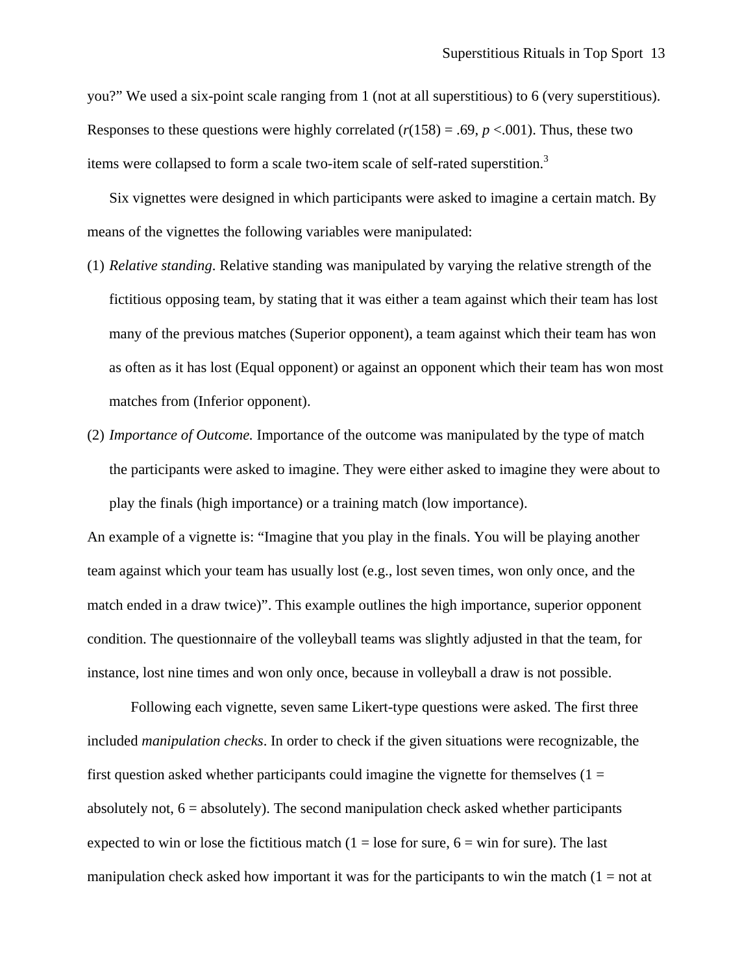you?" We used a six-point scale ranging from 1 (not at all superstitious) to 6 (very superstitious). Responses to these questions were highly correlated  $(r(158) = .69, p < .001)$ . Thus, these two items were collapsed to form a scale two-item scale of self-rated superstition.3 

Six vignettes were designed in which participants were asked to imagine a certain match. By means of the vignettes the following variables were manipulated:

- (1) *Relative standing*. Relative standing was manipulated by varying the relative strength of the fictitious opposing team, by stating that it was either a team against which their team has lost many of the previous matches (Superior opponent), a team against which their team has won as often as it has lost (Equal opponent) or against an opponent which their team has won most matches from (Inferior opponent).
- (2) *Importance of Outcome.* Importance of the outcome was manipulated by the type of match the participants were asked to imagine. They were either asked to imagine they were about to play the finals (high importance) or a training match (low importance).

An example of a vignette is: "Imagine that you play in the finals. You will be playing another team against which your team has usually lost (e.g., lost seven times, won only once, and the match ended in a draw twice)". This example outlines the high importance, superior opponent condition. The questionnaire of the volleyball teams was slightly adjusted in that the team, for instance, lost nine times and won only once, because in volleyball a draw is not possible.

Following each vignette, seven same Likert-type questions were asked. The first three included *manipulation checks*. In order to check if the given situations were recognizable, the first question asked whether participants could imagine the vignette for themselves  $(1 =$ absolutely not,  $6 =$  absolutely). The second manipulation check asked whether participants expected to win or lose the fictitious match  $(1 = \text{lose for sure}, 6 = \text{win for sure})$ . The last manipulation check asked how important it was for the participants to win the match  $(1 = not at$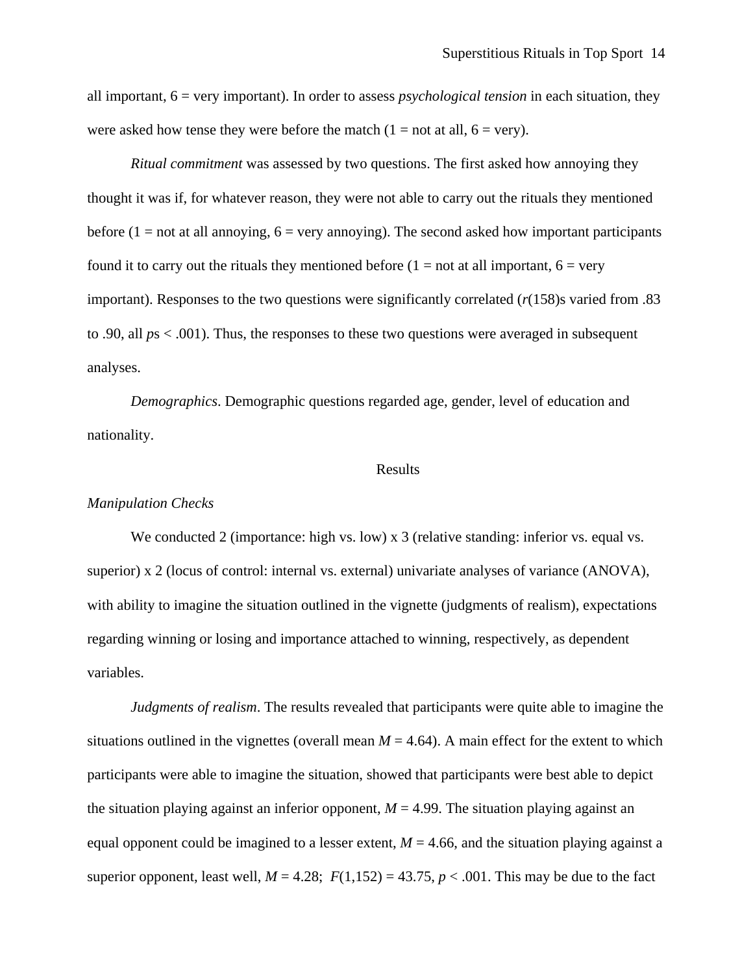all important, 6 = very important). In order to assess *psychological tension* in each situation, they were asked how tense they were before the match  $(1 = not at all, 6 = very)$ .

*Ritual commitment* was assessed by two questions. The first asked how annoying they thought it was if, for whatever reason, they were not able to carry out the rituals they mentioned before  $(1 = not at all annoying, 6 = very annoying)$ . The second asked how important participants found it to carry out the rituals they mentioned before  $(1 = not at all important, 6 = very$ important). Responses to the two questions were significantly correlated (*r*(158)s varied from .83 to .90, all *p*s < .001). Thus, the responses to these two questions were averaged in subsequent analyses.

*Demographics*. Demographic questions regarded age, gender, level of education and nationality.

# Results

#### *Manipulation Checks*

We conducted 2 (importance: high vs. low) x 3 (relative standing: inferior vs. equal vs. superior) x 2 (locus of control: internal vs. external) univariate analyses of variance (ANOVA), with ability to imagine the situation outlined in the vignette (judgments of realism), expectations regarding winning or losing and importance attached to winning, respectively, as dependent variables.

*Judgments of realism*. The results revealed that participants were quite able to imagine the situations outlined in the vignettes (overall mean  $M = 4.64$ ). A main effect for the extent to which participants were able to imagine the situation, showed that participants were best able to depict the situation playing against an inferior opponent,  $M = 4.99$ . The situation playing against an equal opponent could be imagined to a lesser extent,  $M = 4.66$ , and the situation playing against a superior opponent, least well,  $M = 4.28$ ;  $F(1,152) = 43.75$ ,  $p < .001$ . This may be due to the fact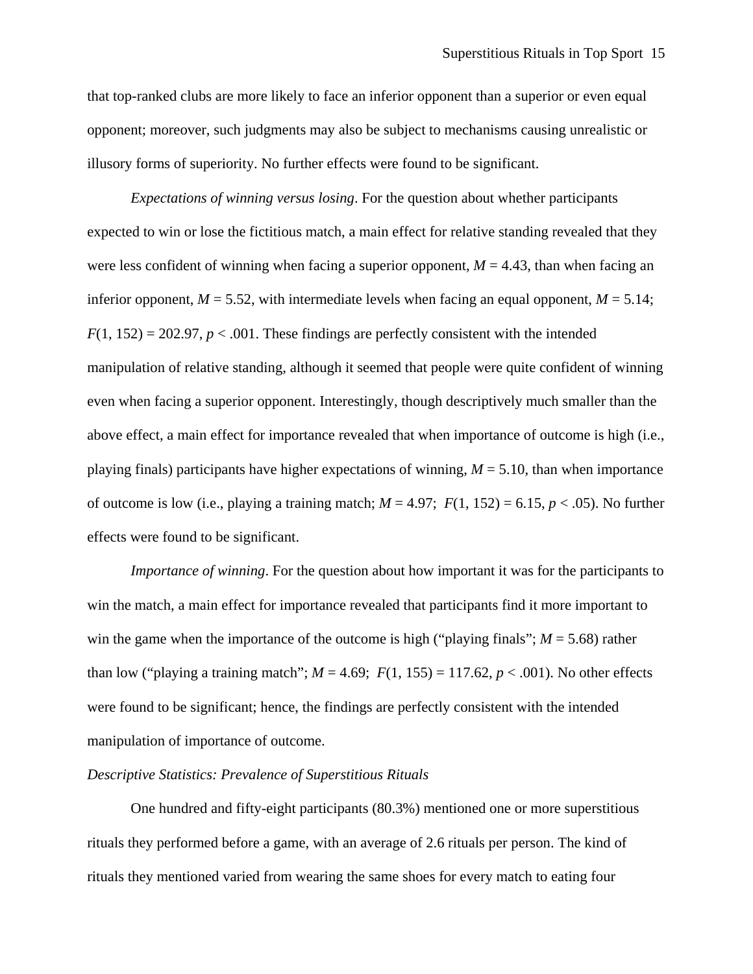that top-ranked clubs are more likely to face an inferior opponent than a superior or even equal opponent; moreover, such judgments may also be subject to mechanisms causing unrealistic or illusory forms of superiority. No further effects were found to be significant.

*Expectations of winning versus losing*. For the question about whether participants expected to win or lose the fictitious match, a main effect for relative standing revealed that they were less confident of winning when facing a superior opponent,  $M = 4.43$ , than when facing an inferior opponent,  $M = 5.52$ , with intermediate levels when facing an equal opponent,  $M = 5.14$ ;  $F(1, 152) = 202.97$ ,  $p < .001$ . These findings are perfectly consistent with the intended manipulation of relative standing, although it seemed that people were quite confident of winning even when facing a superior opponent. Interestingly, though descriptively much smaller than the above effect, a main effect for importance revealed that when importance of outcome is high (i.e., playing finals) participants have higher expectations of winning,  $M = 5.10$ , than when importance of outcome is low (i.e., playing a training match;  $M = 4.97$ ;  $F(1, 152) = 6.15$ ,  $p < .05$ ). No further effects were found to be significant.

*Importance of winning*. For the question about how important it was for the participants to win the match, a main effect for importance revealed that participants find it more important to win the game when the importance of the outcome is high ("playing finals";  $M = 5.68$ ) rather than low ("playing a training match";  $M = 4.69$ ;  $F(1, 155) = 117.62$ ,  $p < .001$ ). No other effects were found to be significant; hence, the findings are perfectly consistent with the intended manipulation of importance of outcome.

### *Descriptive Statistics: Prevalence of Superstitious Rituals*

One hundred and fifty-eight participants (80.3%) mentioned one or more superstitious rituals they performed before a game, with an average of 2.6 rituals per person. The kind of rituals they mentioned varied from wearing the same shoes for every match to eating four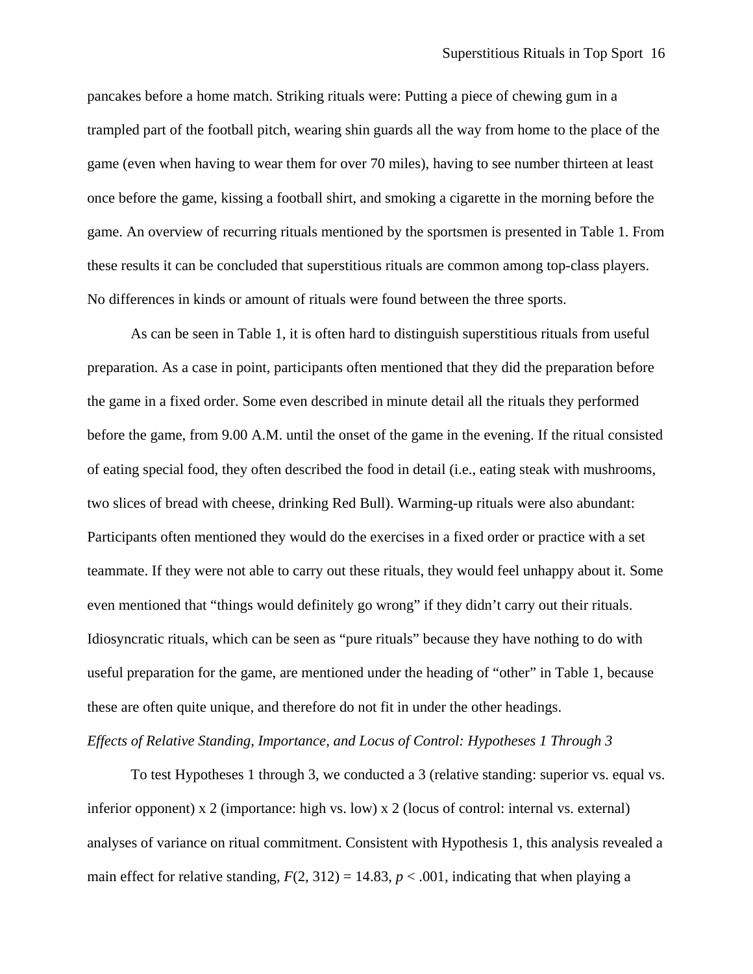pancakes before a home match. Striking rituals were: Putting a piece of chewing gum in a trampled part of the football pitch, wearing shin guards all the way from home to the place of the game (even when having to wear them for over 70 miles), having to see number thirteen at least once before the game, kissing a football shirt, and smoking a cigarette in the morning before the game. An overview of recurring rituals mentioned by the sportsmen is presented in Table 1. From these results it can be concluded that superstitious rituals are common among top-class players. No differences in kinds or amount of rituals were found between the three sports.

As can be seen in Table 1, it is often hard to distinguish superstitious rituals from useful preparation. As a case in point, participants often mentioned that they did the preparation before the game in a fixed order. Some even described in minute detail all the rituals they performed before the game, from 9.00 A.M. until the onset of the game in the evening. If the ritual consisted of eating special food, they often described the food in detail (i.e., eating steak with mushrooms, two slices of bread with cheese, drinking Red Bull). Warming-up rituals were also abundant: Participants often mentioned they would do the exercises in a fixed order or practice with a set teammate. If they were not able to carry out these rituals, they would feel unhappy about it. Some even mentioned that "things would definitely go wrong" if they didn't carry out their rituals. Idiosyncratic rituals, which can be seen as "pure rituals" because they have nothing to do with useful preparation for the game, are mentioned under the heading of "other" in Table 1, because these are often quite unique, and therefore do not fit in under the other headings. *Effects of Relative Standing, Importance, and Locus of Control: Hypotheses 1 Through 3* 

To test Hypotheses 1 through 3, we conducted a 3 (relative standing: superior vs. equal vs. inferior opponent) x 2 (importance: high vs. low) x 2 (locus of control: internal vs. external) analyses of variance on ritual commitment. Consistent with Hypothesis 1, this analysis revealed a main effect for relative standing,  $F(2, 312) = 14.83$ ,  $p < .001$ , indicating that when playing a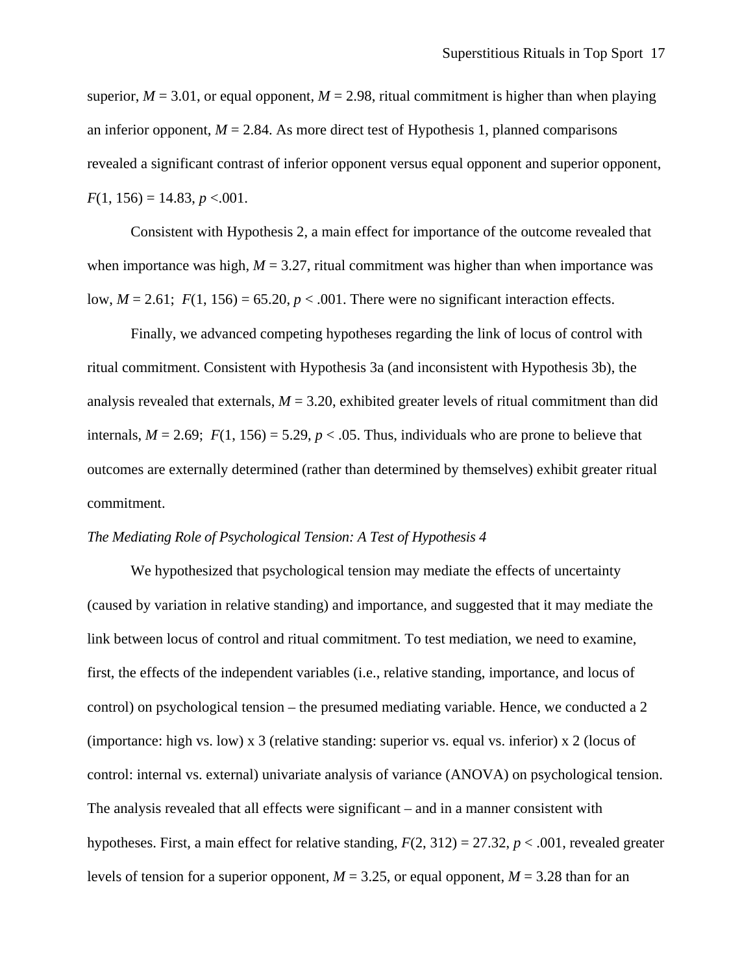superior,  $M = 3.01$ , or equal opponent,  $M = 2.98$ , ritual commitment is higher than when playing an inferior opponent,  $M = 2.84$ . As more direct test of Hypothesis 1, planned comparisons revealed a significant contrast of inferior opponent versus equal opponent and superior opponent,  $F(1, 156) = 14.83, p < .001.$ 

Consistent with Hypothesis 2, a main effect for importance of the outcome revealed that when importance was high,  $M = 3.27$ , ritual commitment was higher than when importance was low,  $M = 2.61$ ;  $F(1, 156) = 65.20$ ,  $p < .001$ . There were no significant interaction effects.

Finally, we advanced competing hypotheses regarding the link of locus of control with ritual commitment. Consistent with Hypothesis 3a (and inconsistent with Hypothesis 3b), the analysis revealed that externals,  $M = 3.20$ , exhibited greater levels of ritual commitment than did internals,  $M = 2.69$ ;  $F(1, 156) = 5.29$ ,  $p < .05$ . Thus, individuals who are prone to believe that outcomes are externally determined (rather than determined by themselves) exhibit greater ritual commitment.

# *The Mediating Role of Psychological Tension: A Test of Hypothesis 4*

We hypothesized that psychological tension may mediate the effects of uncertainty (caused by variation in relative standing) and importance, and suggested that it may mediate the link between locus of control and ritual commitment. To test mediation, we need to examine, first, the effects of the independent variables (i.e., relative standing, importance, and locus of control) on psychological tension – the presumed mediating variable. Hence, we conducted a 2 (importance: high vs. low) x 3 (relative standing: superior vs. equal vs. inferior) x 2 (locus of control: internal vs. external) univariate analysis of variance (ANOVA) on psychological tension. The analysis revealed that all effects were significant – and in a manner consistent with hypotheses. First, a main effect for relative standing, *F*(2, 312) = 27.32, *p* < .001, revealed greater levels of tension for a superior opponent,  $M = 3.25$ , or equal opponent,  $M = 3.28$  than for an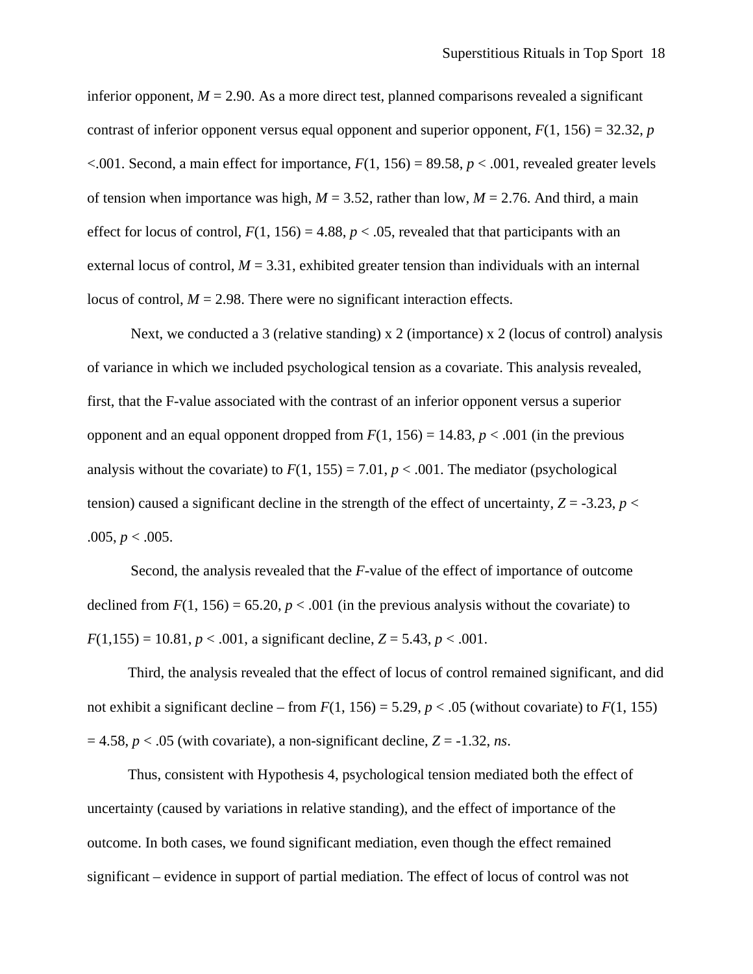inferior opponent,  $M = 2.90$ . As a more direct test, planned comparisons revealed a significant contrast of inferior opponent versus equal opponent and superior opponent,  $F(1, 156) = 32.32$ , *p*  $\leq$ .001. Second, a main effect for importance,  $F(1, 156) = 89.58$ ,  $p \leq$ .001, revealed greater levels of tension when importance was high,  $M = 3.52$ , rather than low,  $M = 2.76$ . And third, a main effect for locus of control,  $F(1, 156) = 4.88$ ,  $p < .05$ , revealed that that participants with an external locus of control,  $M = 3.31$ , exhibited greater tension than individuals with an internal locus of control,  $M = 2.98$ . There were no significant interaction effects.

Next, we conducted a 3 (relative standing) x 2 (importance) x 2 (locus of control) analysis of variance in which we included psychological tension as a covariate. This analysis revealed, first, that the F-value associated with the contrast of an inferior opponent versus a superior opponent and an equal opponent dropped from  $F(1, 156) = 14.83$ ,  $p < .001$  (in the previous analysis without the covariate) to  $F(1, 155) = 7.01$ ,  $p < .001$ . The mediator (psychological tension) caused a significant decline in the strength of the effect of uncertainty,  $Z = -3.23$ ,  $p <$  $.005, p < .005.$ 

Second, the analysis revealed that the *F*-value of the effect of importance of outcome declined from  $F(1, 156) = 65.20$ ,  $p < .001$  (in the previous analysis without the covariate) to  $F(1,155) = 10.81, p < .001$ , a significant decline,  $Z = 5.43, p < .001$ .

 Third, the analysis revealed that the effect of locus of control remained significant, and did not exhibit a significant decline – from  $F(1, 156) = 5.29$ ,  $p < .05$  (without covariate) to  $F(1, 155)$  $= 4.58$ ,  $p < .05$  (with covariate), a non-significant decline,  $Z = -1.32$ , *ns*.

 Thus, consistent with Hypothesis 4, psychological tension mediated both the effect of uncertainty (caused by variations in relative standing), and the effect of importance of the outcome. In both cases, we found significant mediation, even though the effect remained significant – evidence in support of partial mediation. The effect of locus of control was not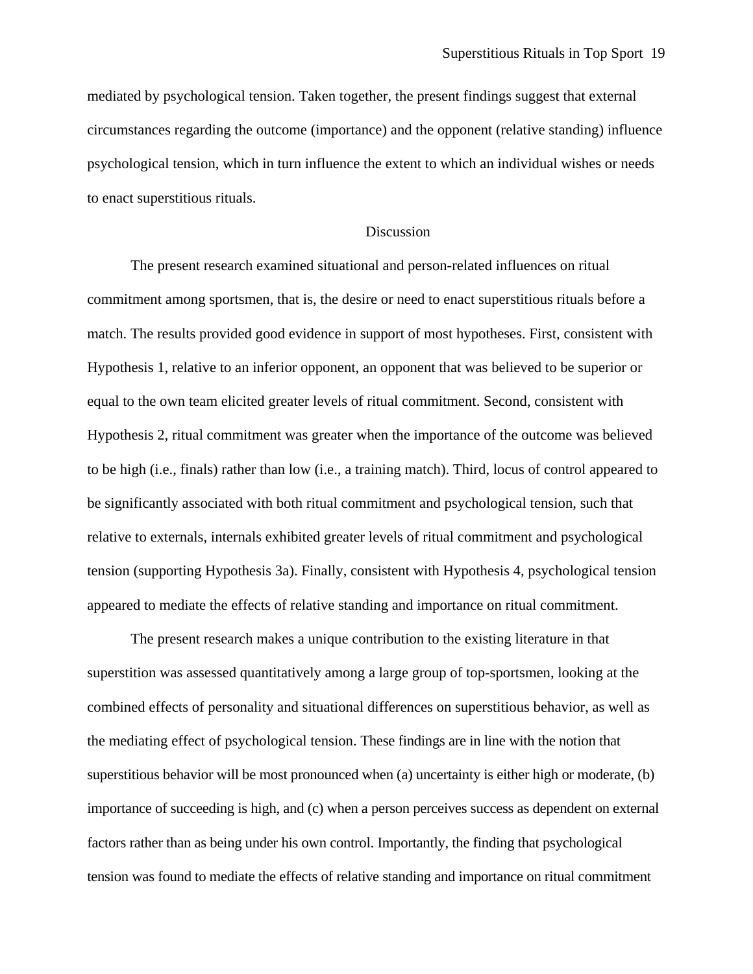mediated by psychological tension. Taken together, the present findings suggest that external circumstances regarding the outcome (importance) and the opponent (relative standing) influence psychological tension, which in turn influence the extent to which an individual wishes or needs to enact superstitious rituals.

#### **Discussion**

The present research examined situational and person-related influences on ritual commitment among sportsmen, that is, the desire or need to enact superstitious rituals before a match. The results provided good evidence in support of most hypotheses. First, consistent with Hypothesis 1, relative to an inferior opponent, an opponent that was believed to be superior or equal to the own team elicited greater levels of ritual commitment. Second, consistent with Hypothesis 2, ritual commitment was greater when the importance of the outcome was believed to be high (i.e., finals) rather than low (i.e., a training match). Third, locus of control appeared to be significantly associated with both ritual commitment and psychological tension, such that relative to externals, internals exhibited greater levels of ritual commitment and psychological tension (supporting Hypothesis 3a). Finally, consistent with Hypothesis 4, psychological tension appeared to mediate the effects of relative standing and importance on ritual commitment.

The present research makes a unique contribution to the existing literature in that superstition was assessed quantitatively among a large group of top-sportsmen, looking at the combined effects of personality and situational differences on superstitious behavior, as well as the mediating effect of psychological tension. These findings are in line with the notion that superstitious behavior will be most pronounced when (a) uncertainty is either high or moderate, (b) importance of succeeding is high, and (c) when a person perceives success as dependent on external factors rather than as being under his own control. Importantly, the finding that psychological tension was found to mediate the effects of relative standing and importance on ritual commitment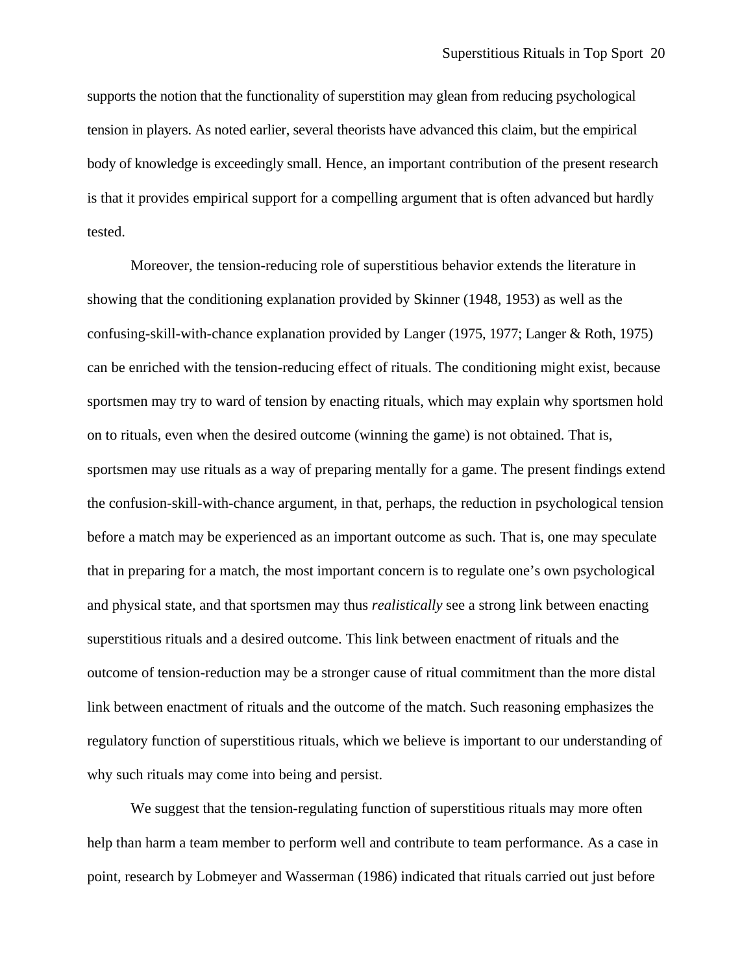supports the notion that the functionality of superstition may glean from reducing psychological tension in players. As noted earlier, several theorists have advanced this claim, but the empirical body of knowledge is exceedingly small. Hence, an important contribution of the present research is that it provides empirical support for a compelling argument that is often advanced but hardly tested.

Moreover, the tension-reducing role of superstitious behavior extends the literature in showing that the conditioning explanation provided by Skinner (1948, 1953) as well as the confusing-skill-with-chance explanation provided by Langer (1975, 1977; Langer & Roth, 1975) can be enriched with the tension-reducing effect of rituals. The conditioning might exist, because sportsmen may try to ward of tension by enacting rituals, which may explain why sportsmen hold on to rituals, even when the desired outcome (winning the game) is not obtained. That is, sportsmen may use rituals as a way of preparing mentally for a game. The present findings extend the confusion-skill-with-chance argument, in that, perhaps, the reduction in psychological tension before a match may be experienced as an important outcome as such. That is, one may speculate that in preparing for a match, the most important concern is to regulate one's own psychological and physical state, and that sportsmen may thus *realistically* see a strong link between enacting superstitious rituals and a desired outcome. This link between enactment of rituals and the outcome of tension-reduction may be a stronger cause of ritual commitment than the more distal link between enactment of rituals and the outcome of the match. Such reasoning emphasizes the regulatory function of superstitious rituals, which we believe is important to our understanding of why such rituals may come into being and persist.

We suggest that the tension-regulating function of superstitious rituals may more often help than harm a team member to perform well and contribute to team performance. As a case in point, research by Lobmeyer and Wasserman (1986) indicated that rituals carried out just before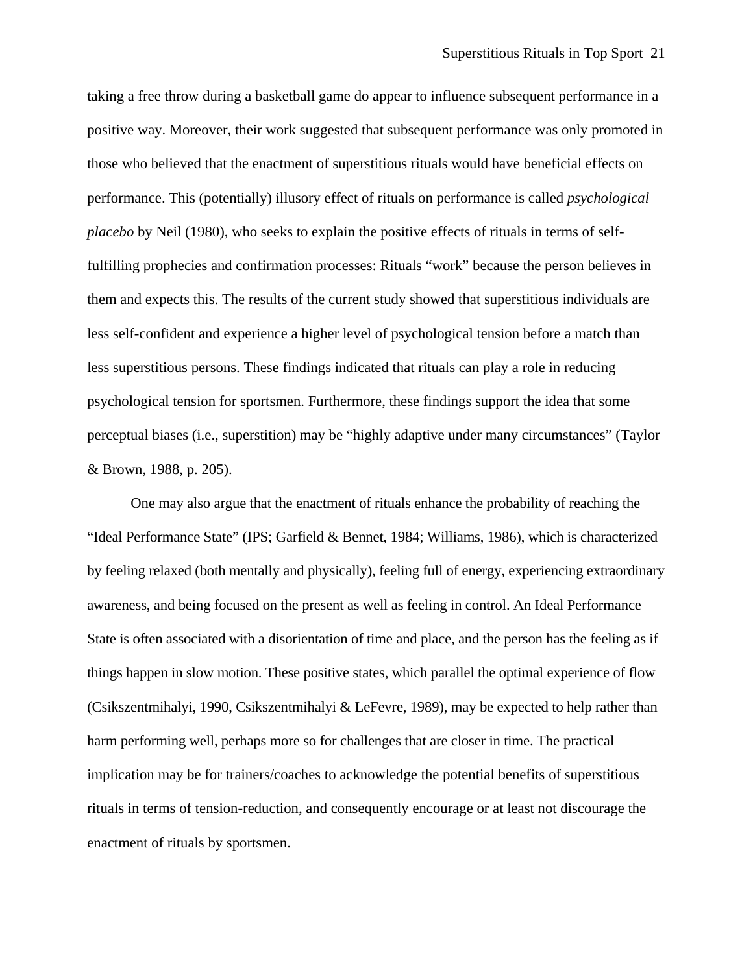taking a free throw during a basketball game do appear to influence subsequent performance in a positive way. Moreover, their work suggested that subsequent performance was only promoted in those who believed that the enactment of superstitious rituals would have beneficial effects on performance. This (potentially) illusory effect of rituals on performance is called *psychological placebo* by Neil (1980), who seeks to explain the positive effects of rituals in terms of selffulfilling prophecies and confirmation processes: Rituals "work" because the person believes in them and expects this. The results of the current study showed that superstitious individuals are less self-confident and experience a higher level of psychological tension before a match than less superstitious persons. These findings indicated that rituals can play a role in reducing psychological tension for sportsmen. Furthermore, these findings support the idea that some perceptual biases (i.e., superstition) may be "highly adaptive under many circumstances" (Taylor & Brown, 1988, p. 205).

One may also argue that the enactment of rituals enhance the probability of reaching the "Ideal Performance State" (IPS; Garfield & Bennet, 1984; Williams, 1986), which is characterized by feeling relaxed (both mentally and physically), feeling full of energy, experiencing extraordinary awareness, and being focused on the present as well as feeling in control. An Ideal Performance State is often associated with a disorientation of time and place, and the person has the feeling as if things happen in slow motion. These positive states, which parallel the optimal experience of flow (Csikszentmihalyi, 1990, Csikszentmihalyi & LeFevre, 1989), may be expected to help rather than harm performing well, perhaps more so for challenges that are closer in time. The practical implication may be for trainers/coaches to acknowledge the potential benefits of superstitious rituals in terms of tension-reduction, and consequently encourage or at least not discourage the enactment of rituals by sportsmen.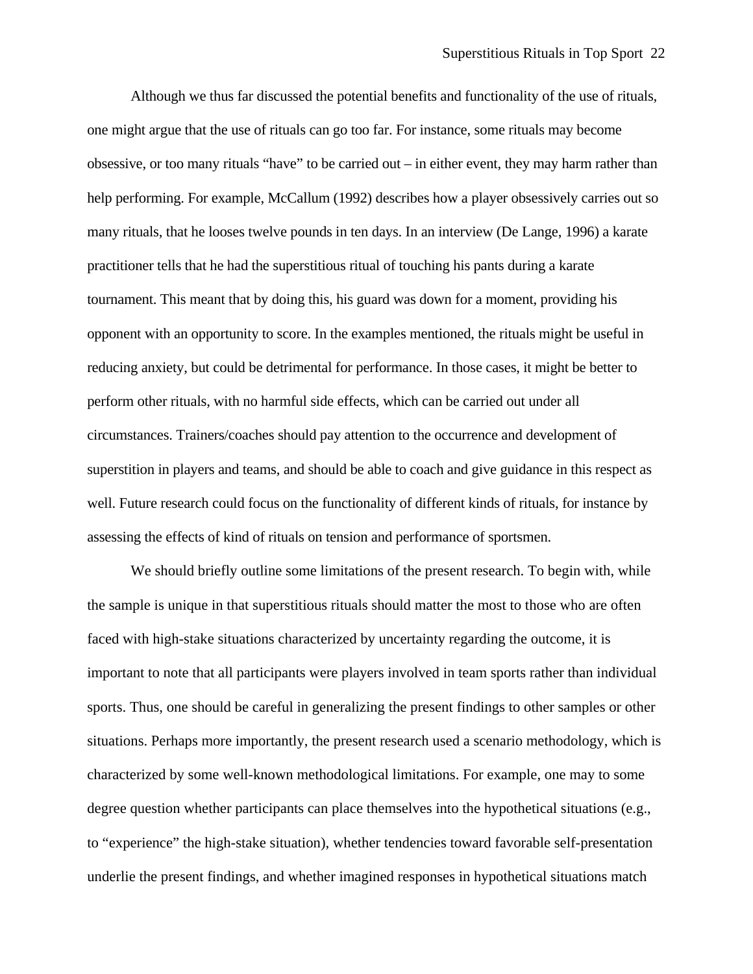Although we thus far discussed the potential benefits and functionality of the use of rituals, one might argue that the use of rituals can go too far. For instance, some rituals may become obsessive, or too many rituals "have" to be carried out – in either event, they may harm rather than help performing. For example, McCallum (1992) describes how a player obsessively carries out so many rituals, that he looses twelve pounds in ten days. In an interview (De Lange, 1996) a karate practitioner tells that he had the superstitious ritual of touching his pants during a karate tournament. This meant that by doing this, his guard was down for a moment, providing his opponent with an opportunity to score. In the examples mentioned, the rituals might be useful in reducing anxiety, but could be detrimental for performance. In those cases, it might be better to perform other rituals, with no harmful side effects, which can be carried out under all circumstances. Trainers/coaches should pay attention to the occurrence and development of superstition in players and teams, and should be able to coach and give guidance in this respect as well. Future research could focus on the functionality of different kinds of rituals, for instance by assessing the effects of kind of rituals on tension and performance of sportsmen.

We should briefly outline some limitations of the present research. To begin with, while the sample is unique in that superstitious rituals should matter the most to those who are often faced with high-stake situations characterized by uncertainty regarding the outcome, it is important to note that all participants were players involved in team sports rather than individual sports. Thus, one should be careful in generalizing the present findings to other samples or other situations. Perhaps more importantly, the present research used a scenario methodology, which is characterized by some well-known methodological limitations. For example, one may to some degree question whether participants can place themselves into the hypothetical situations (e.g., to "experience" the high-stake situation), whether tendencies toward favorable self-presentation underlie the present findings, and whether imagined responses in hypothetical situations match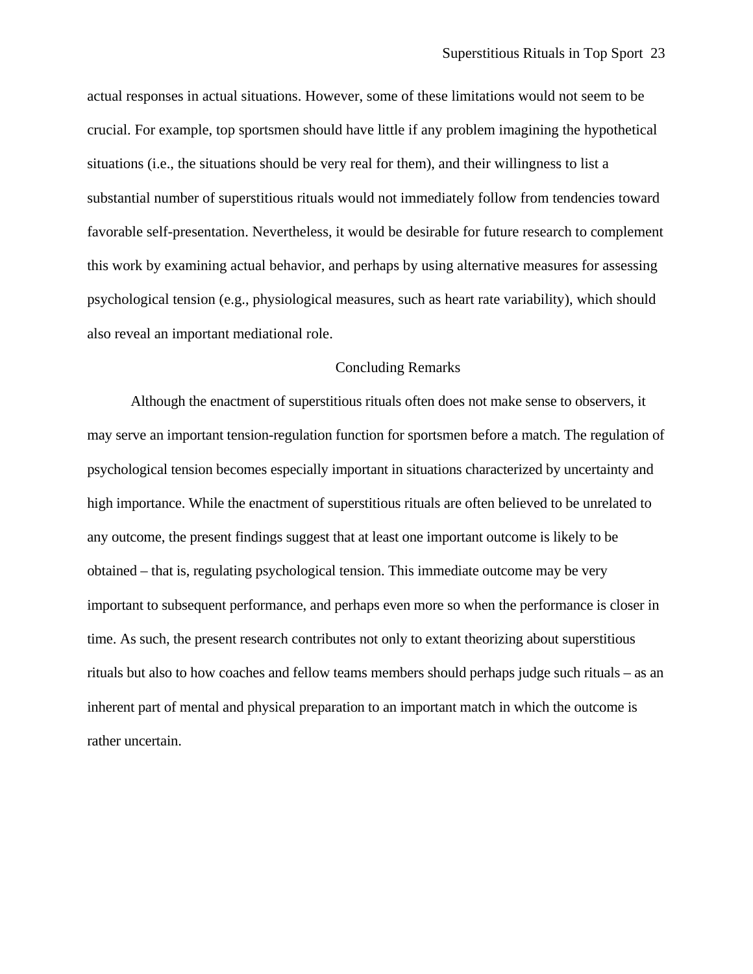actual responses in actual situations. However, some of these limitations would not seem to be crucial. For example, top sportsmen should have little if any problem imagining the hypothetical situations (i.e., the situations should be very real for them), and their willingness to list a substantial number of superstitious rituals would not immediately follow from tendencies toward favorable self-presentation. Nevertheless, it would be desirable for future research to complement this work by examining actual behavior, and perhaps by using alternative measures for assessing psychological tension (e.g., physiological measures, such as heart rate variability), which should also reveal an important mediational role.

#### Concluding Remarks

 Although the enactment of superstitious rituals often does not make sense to observers, it may serve an important tension-regulation function for sportsmen before a match. The regulation of psychological tension becomes especially important in situations characterized by uncertainty and high importance. While the enactment of superstitious rituals are often believed to be unrelated to any outcome, the present findings suggest that at least one important outcome is likely to be obtained – that is, regulating psychological tension. This immediate outcome may be very important to subsequent performance, and perhaps even more so when the performance is closer in time. As such, the present research contributes not only to extant theorizing about superstitious rituals but also to how coaches and fellow teams members should perhaps judge such rituals – as an inherent part of mental and physical preparation to an important match in which the outcome is rather uncertain.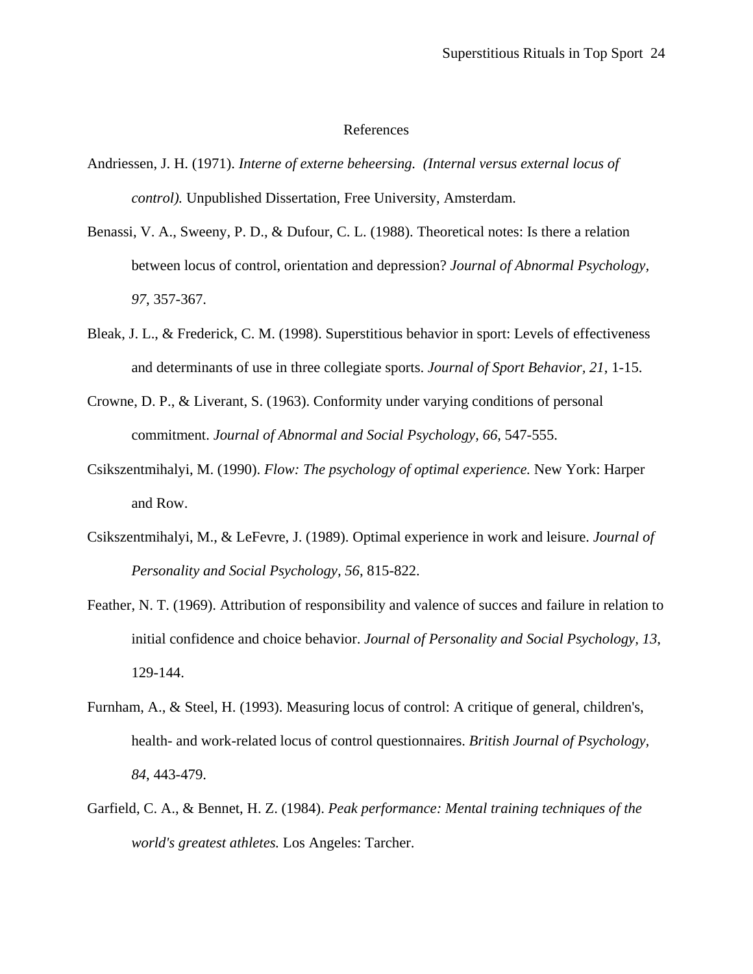## References

- Andriessen, J. H. (1971). *Interne of externe beheersing. (Internal versus external locus of control).* Unpublished Dissertation, Free University, Amsterdam.
- Benassi, V. A., Sweeny, P. D., & Dufour, C. L. (1988). Theoretical notes: Is there a relation between locus of control, orientation and depression? *Journal of Abnormal Psychology, 97*, 357-367.
- Bleak, J. L., & Frederick, C. M. (1998). Superstitious behavior in sport: Levels of effectiveness and determinants of use in three collegiate sports. *Journal of Sport Behavior, 21*, 1-15.
- Crowne, D. P., & Liverant, S. (1963). Conformity under varying conditions of personal commitment. *Journal of Abnormal and Social Psychology, 66*, 547-555.
- Csikszentmihalyi, M. (1990). *Flow: The psychology of optimal experience.* New York: Harper and Row.
- Csikszentmihalyi, M., & LeFevre, J. (1989). Optimal experience in work and leisure. *Journal of Personality and Social Psychology, 56*, 815-822.
- Feather, N. T. (1969). Attribution of responsibility and valence of succes and failure in relation to initial confidence and choice behavior. *Journal of Personality and Social Psychology, 13*, 129-144.
- Furnham, A., & Steel, H. (1993). Measuring locus of control: A critique of general, children's, health- and work-related locus of control questionnaires. *British Journal of Psychology, 84*, 443-479.
- Garfield, C. A., & Bennet, H. Z. (1984). *Peak performance: Mental training techniques of the world's greatest athletes.* Los Angeles: Tarcher.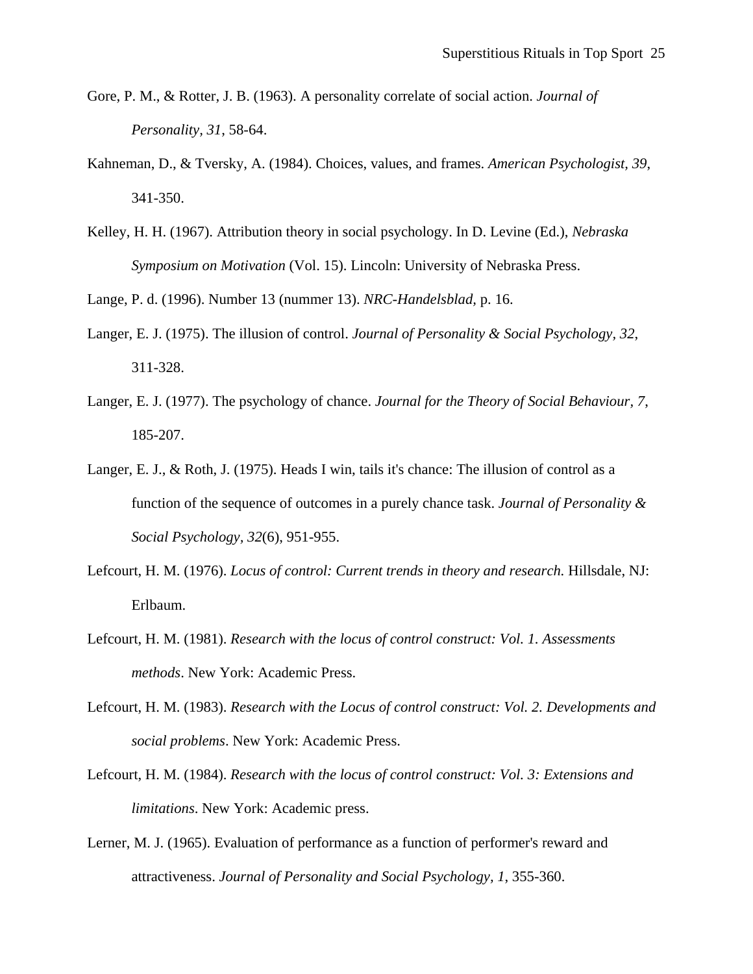- Gore, P. M., & Rotter, J. B. (1963). A personality correlate of social action. *Journal of Personality, 31*, 58-64.
- Kahneman, D., & Tversky, A. (1984). Choices, values, and frames. *American Psychologist, 39*, 341-350.
- Kelley, H. H. (1967). Attribution theory in social psychology. In D. Levine (Ed.), *Nebraska Symposium on Motivation* (Vol. 15). Lincoln: University of Nebraska Press.

Lange, P. d. (1996). Number 13 (nummer 13). *NRC-Handelsblad,* p. 16.

- Langer, E. J. (1975). The illusion of control. *Journal of Personality & Social Psychology, 32*, 311-328.
- Langer, E. J. (1977). The psychology of chance. *Journal for the Theory of Social Behaviour, 7*, 185-207.
- Langer, E. J., & Roth, J. (1975). Heads I win, tails it's chance: The illusion of control as a function of the sequence of outcomes in a purely chance task. *Journal of Personality & Social Psychology, 32*(6), 951-955.
- Lefcourt, H. M. (1976). *Locus of control: Current trends in theory and research.* Hillsdale, NJ: Erlbaum.
- Lefcourt, H. M. (1981). *Research with the locus of control construct: Vol. 1. Assessments methods*. New York: Academic Press.
- Lefcourt, H. M. (1983). *Research with the Locus of control construct: Vol. 2. Developments and social problems*. New York: Academic Press.
- Lefcourt, H. M. (1984). *Research with the locus of control construct: Vol. 3: Extensions and limitations*. New York: Academic press.
- Lerner, M. J. (1965). Evaluation of performance as a function of performer's reward and attractiveness. *Journal of Personality and Social Psychology, 1*, 355-360.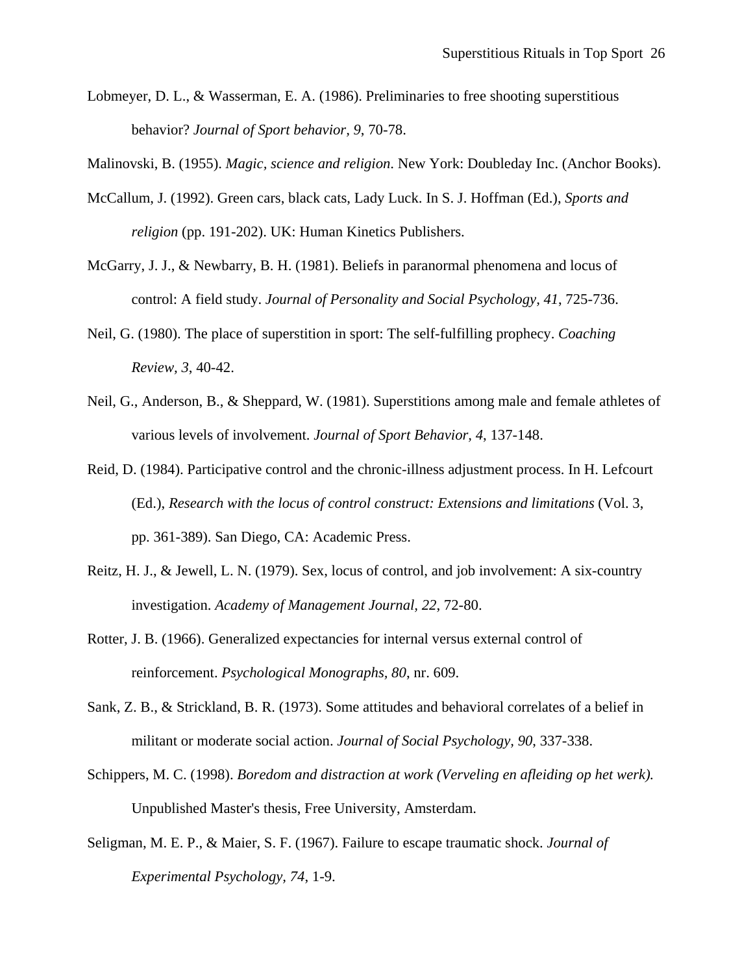Lobmeyer, D. L., & Wasserman, E. A. (1986). Preliminaries to free shooting superstitious behavior? *Journal of Sport behavior, 9*, 70-78.

Malinovski, B. (1955). *Magic, science and religion*. New York: Doubleday Inc. (Anchor Books).

- McCallum, J. (1992). Green cars, black cats, Lady Luck. In S. J. Hoffman (Ed.), *Sports and religion* (pp. 191-202). UK: Human Kinetics Publishers.
- McGarry, J. J., & Newbarry, B. H. (1981). Beliefs in paranormal phenomena and locus of control: A field study. *Journal of Personality and Social Psychology, 41*, 725-736.
- Neil, G. (1980). The place of superstition in sport: The self-fulfilling prophecy. *Coaching Review, 3*, 40-42.
- Neil, G., Anderson, B., & Sheppard, W. (1981). Superstitions among male and female athletes of various levels of involvement. *Journal of Sport Behavior, 4*, 137-148.
- Reid, D. (1984). Participative control and the chronic-illness adjustment process. In H. Lefcourt (Ed.), *Research with the locus of control construct: Extensions and limitations* (Vol. 3, pp. 361-389). San Diego, CA: Academic Press.
- Reitz, H. J., & Jewell, L. N. (1979). Sex, locus of control, and job involvement: A six-country investigation. *Academy of Management Journal, 22*, 72-80.
- Rotter, J. B. (1966). Generalized expectancies for internal versus external control of reinforcement. *Psychological Monographs, 80*, nr. 609.
- Sank, Z. B., & Strickland, B. R. (1973). Some attitudes and behavioral correlates of a belief in militant or moderate social action. *Journal of Social Psychology, 90*, 337-338.
- Schippers, M. C. (1998). *Boredom and distraction at work (Verveling en afleiding op het werk).* Unpublished Master's thesis, Free University, Amsterdam.
- Seligman, M. E. P., & Maier, S. F. (1967). Failure to escape traumatic shock. *Journal of Experimental Psychology, 74*, 1-9.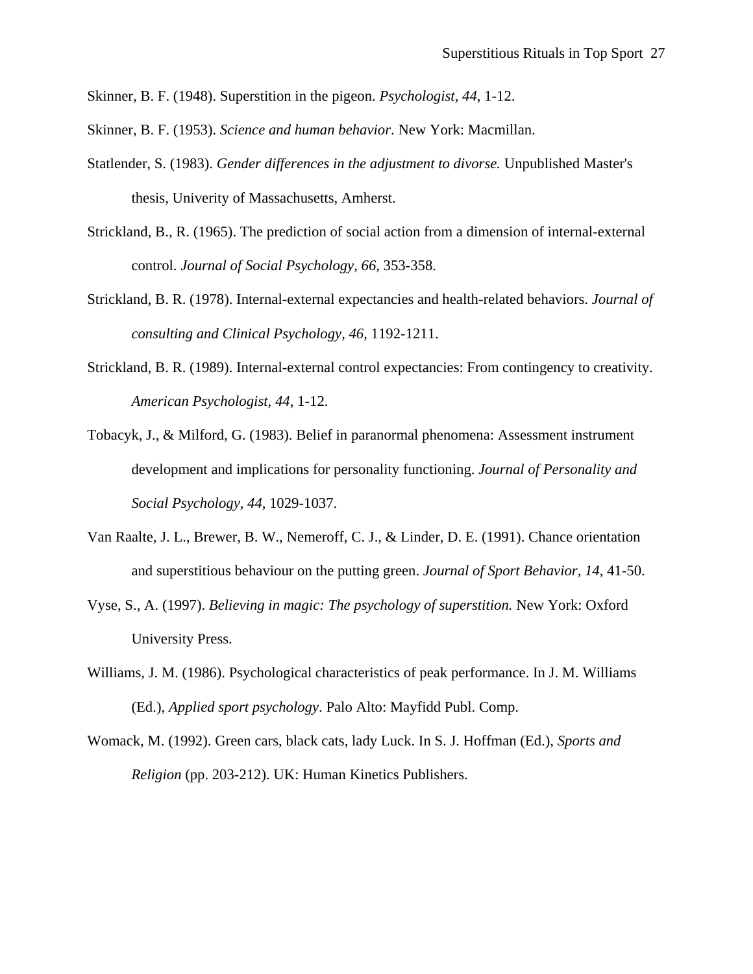- Skinner, B. F. (1948). Superstition in the pigeon. *Psychologist, 44*, 1-12.
- Skinner, B. F. (1953). *Science and human behavior*. New York: Macmillan.
- Statlender, S. (1983). *Gender differences in the adjustment to divorse.* Unpublished Master's thesis, Univerity of Massachusetts, Amherst.
- Strickland, B., R. (1965). The prediction of social action from a dimension of internal-external control. *Journal of Social Psychology, 66*, 353-358.
- Strickland, B. R. (1978). Internal-external expectancies and health-related behaviors. *Journal of consulting and Clinical Psychology, 46*, 1192-1211.
- Strickland, B. R. (1989). Internal-external control expectancies: From contingency to creativity. *American Psychologist, 44*, 1-12.
- Tobacyk, J., & Milford, G. (1983). Belief in paranormal phenomena: Assessment instrument development and implications for personality functioning. *Journal of Personality and Social Psychology, 44*, 1029-1037.
- Van Raalte, J. L., Brewer, B. W., Nemeroff, C. J., & Linder, D. E. (1991). Chance orientation and superstitious behaviour on the putting green. *Journal of Sport Behavior, 14*, 41-50.
- Vyse, S., A. (1997). *Believing in magic: The psychology of superstition.* New York: Oxford University Press.
- Williams, J. M. (1986). Psychological characteristics of peak performance. In J. M. Williams (Ed.), *Applied sport psychology*. Palo Alto: Mayfidd Publ. Comp.
- Womack, M. (1992). Green cars, black cats, lady Luck. In S. J. Hoffman (Ed.), *Sports and Religion* (pp. 203-212). UK: Human Kinetics Publishers.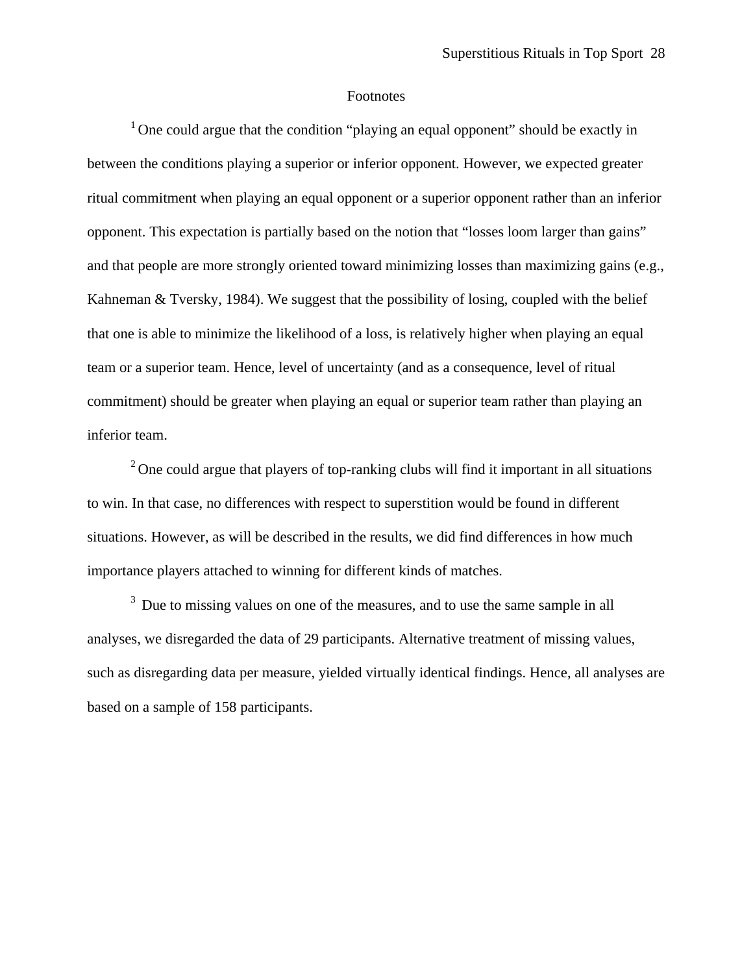#### Footnotes

 $1$  One could argue that the condition "playing an equal opponent" should be exactly in between the conditions playing a superior or inferior opponent. However, we expected greater ritual commitment when playing an equal opponent or a superior opponent rather than an inferior opponent. This expectation is partially based on the notion that "losses loom larger than gains" and that people are more strongly oriented toward minimizing losses than maximizing gains (e.g., Kahneman & Tversky, 1984). We suggest that the possibility of losing, coupled with the belief that one is able to minimize the likelihood of a loss, is relatively higher when playing an equal team or a superior team. Hence, level of uncertainty (and as a consequence, level of ritual commitment) should be greater when playing an equal or superior team rather than playing an inferior team.

 $2^2$  One could argue that players of top-ranking clubs will find it important in all situations to win. In that case, no differences with respect to superstition would be found in different situations. However, as will be described in the results, we did find differences in how much importance players attached to winning for different kinds of matches.

<sup>3</sup> Due to missing values on one of the measures, and to use the same sample in all analyses, we disregarded the data of 29 participants. Alternative treatment of missing values, such as disregarding data per measure, yielded virtually identical findings. Hence, all analyses are based on a sample of 158 participants.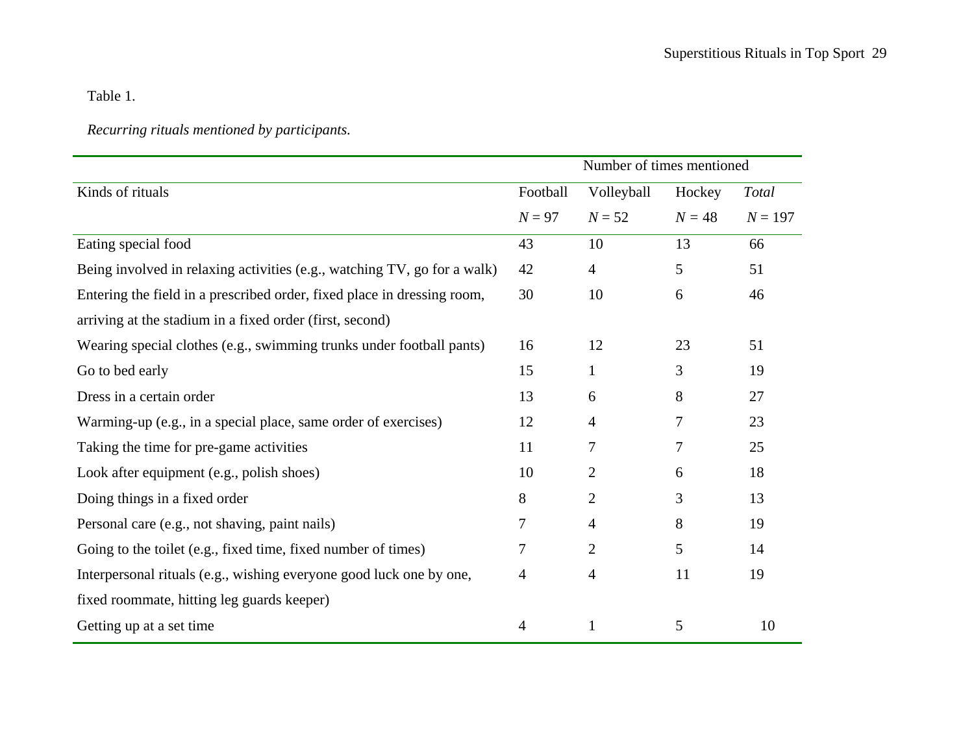Table 1.

# *Recurring rituals mentioned by participants.*

|                                                                          | Number of times mentioned |                |          |              |  |
|--------------------------------------------------------------------------|---------------------------|----------------|----------|--------------|--|
| Kinds of rituals                                                         | Football                  | Volleyball     | Hockey   | <b>Total</b> |  |
|                                                                          | $N=97$                    | $N = 52$       | $N = 48$ | $N = 197$    |  |
| Eating special food                                                      | 43                        | 10             | 13       | 66           |  |
| Being involved in relaxing activities (e.g., watching TV, go for a walk) | 42                        | $\overline{4}$ | 5        | 51           |  |
| Entering the field in a prescribed order, fixed place in dressing room,  |                           | 10             | 6        | 46           |  |
| arriving at the stadium in a fixed order (first, second)                 |                           |                |          |              |  |
| Wearing special clothes (e.g., swimming trunks under football pants)     | 16                        | 12             | 23       | 51           |  |
| Go to bed early                                                          | 15                        | $\mathbf{1}$   | 3        | 19           |  |
| Dress in a certain order                                                 | 13                        | 6              | 8        | 27           |  |
| Warming-up (e.g., in a special place, same order of exercises)           | 12                        | 4              | 7        | 23           |  |
| Taking the time for pre-game activities                                  | 11                        | 7              | 7        | 25           |  |
| Look after equipment (e.g., polish shoes)                                | 10                        | $\overline{2}$ | 6        | 18           |  |
| Doing things in a fixed order                                            | 8                         | $\overline{2}$ | 3        | 13           |  |
| Personal care (e.g., not shaving, paint nails)                           | 7                         | $\overline{4}$ | 8        | 19           |  |
| Going to the toilet (e.g., fixed time, fixed number of times)            | 7                         | $\overline{2}$ | 5        | 14           |  |
| Interpersonal rituals (e.g., wishing everyone good luck one by one,      |                           | 4              | 11       | 19           |  |
| fixed roommate, hitting leg guards keeper)                               |                           |                |          |              |  |
| Getting up at a set time                                                 | 4                         | $\mathbf{1}$   | 5        | 10           |  |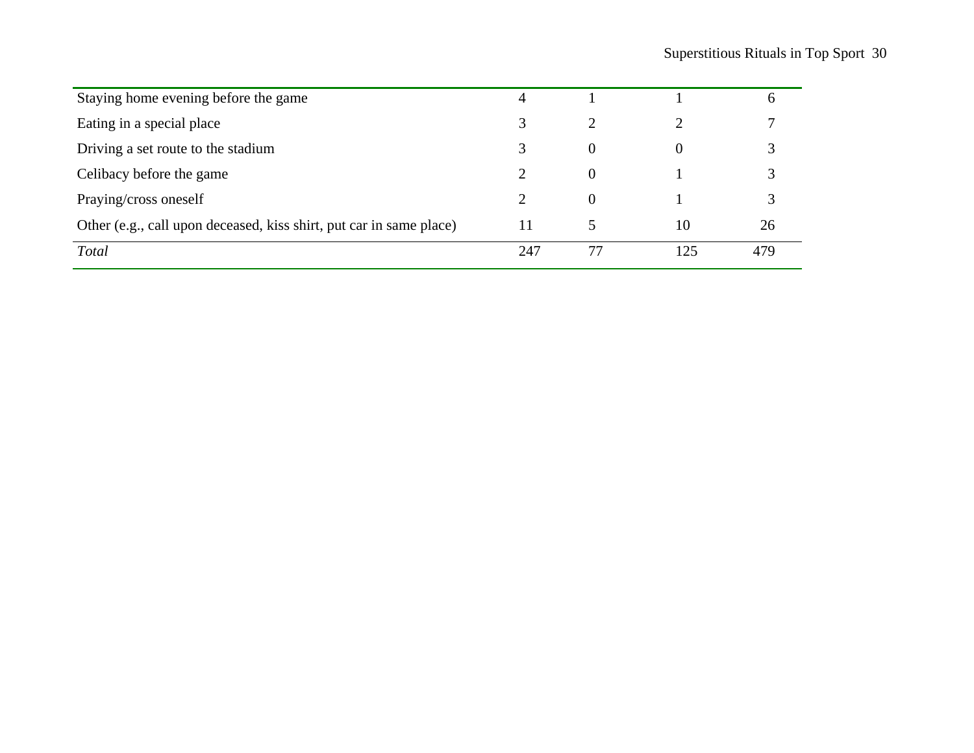| Staying home evening before the game                                | 4   |          |     | b   |
|---------------------------------------------------------------------|-----|----------|-----|-----|
| Eating in a special place                                           | 3   |          |     |     |
| Driving a set route to the stadium                                  |     | $\theta$ |     |     |
| Celibacy before the game                                            |     | $\theta$ |     |     |
| Praying/cross oneself                                               |     | $\Omega$ |     |     |
| Other (e.g., call upon deceased, kiss shirt, put car in same place) | 11  |          | 10  | 26  |
| <b>Total</b>                                                        | 247 |          | 125 | 479 |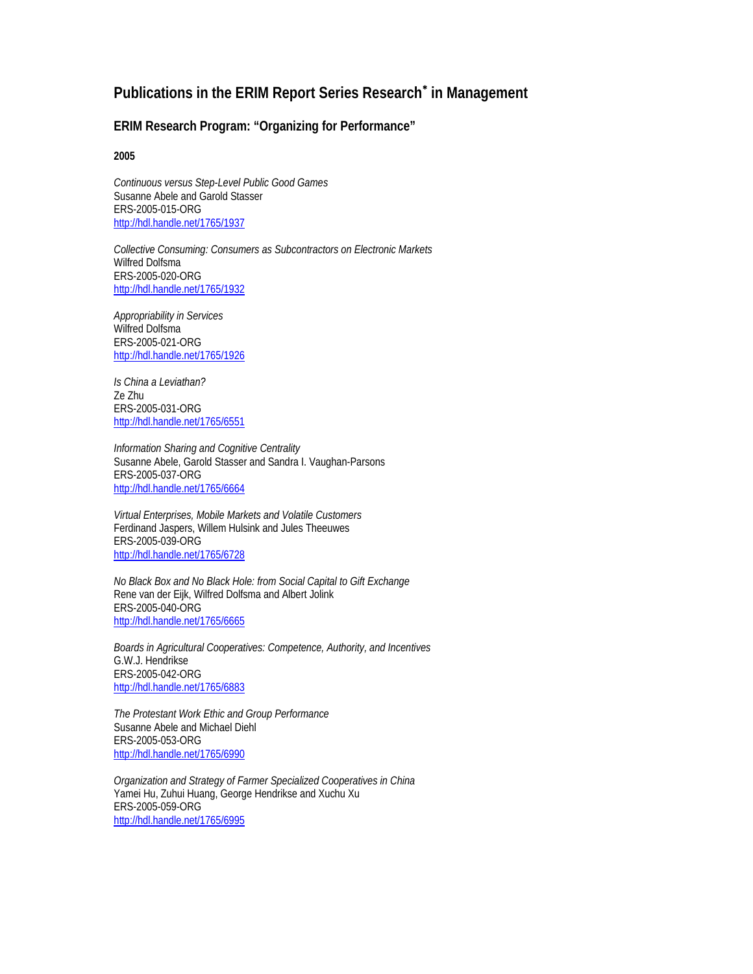# **Publications in the ERIM Report Series Research**<sup>∗</sup>  **in Management**

#### **ERIM Research Program: "Organizing for Performance"**

**2005** 

*Continuous versus Step-Level Public Good Games*  Susanne Abele and Garold Stasser ERS-2005-015-ORG http://hdl.handle.net/1765/1937

*Collective Consuming: Consumers as Subcontractors on Electronic Markets*  Wilfred Dolfsma ERS-2005-020-ORG http://hdl.handle.net/1765/1932

*Appropriability in Services*  Wilfred Dolfsma ERS-2005-021-ORG http://hdl.handle.net/1765/1926

*Is China a Leviathan?*  Ze Zhu ERS-2005-031-ORG http://hdl.handle.net/1765/6551

*Information Sharing and Cognitive Centrality*  Susanne Abele, Garold Stasser and Sandra I. Vaughan-Parsons ERS-2005-037-ORG http://hdl.handle.net/1765/6664

*Virtual Enterprises, Mobile Markets and Volatile Customers*  Ferdinand Jaspers, Willem Hulsink and Jules Theeuwes ERS-2005-039-ORG http://hdl.handle.net/1765/6728

*No Black Box and No Black Hole: from Social Capital to Gift Exchange*  Rene van der Eijk, Wilfred Dolfsma and Albert Jolink ERS-2005-040-ORG http://hdl.handle.net/1765/6665

*Boards in Agricultural Cooperatives: Competence, Authority, and Incentives*  G.W.J. Hendrikse ERS-2005-042-ORG http://hdl.handle.net/1765/6883

*The Protestant Work Ethic and Group Performance*  Susanne Abele and Michael Diehl ERS-2005-053-ORG http://hdl.handle.net/1765/6990

*Organization and Strategy of Farmer Specialized Cooperatives in China*  Yamei Hu, Zuhui Huang, George Hendrikse and Xuchu Xu ERS-2005-059-ORG http://hdl.handle.net/1765/6995